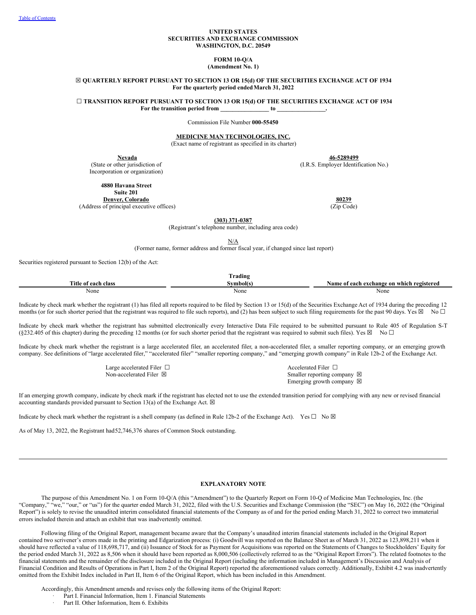### **UNITED STATES SECURITIES AND EXCHANGE COMMISSION WASHINGTON, D.C. 20549**

# **FORM 10-Q/A**

**(Amendment No. 1)**

# <span id="page-0-0"></span>**☒ QUARTERLY REPORT PURSUANT TO SECTION 13 OR 15(d) OF THE SECURITIES EXCHANGE ACT OF 1934 For the quarterly period endedMarch 31, 2022**

**☐ TRANSITION REPORT PURSUANT TO SECTION 13 OR 15(d) OF THE SECURITIES EXCHANGE ACT OF 1934 For the transition period from \_\_\_\_\_\_\_\_\_\_\_\_\_\_\_\_ to \_\_\_\_\_\_\_\_\_\_\_\_\_\_\_\_.**

Commission File Number **000-55450**

### **MEDICINE MAN TECHNOLOGIES, INC.**

(Exact name of registrant as specified in its charter)

**Nevada 46-5289499**

(State or other jurisdiction of Incorporation or organization)

**4880 Havana Street**

**Suite 201 Denver, Colorado 80239**

(Address of principal executive offices) (Zip Code)

(I.R.S. Employer Identification No.)

**(303) 371-0387**

(Registrant's telephone number, including area code)

N/A

(Former name, former address and former fiscal year, if changed since last report)

Securities registered pursuant to Section 12(b) of the Act:

|                     | $\sim$<br><b>Trading</b> |                                           |
|---------------------|--------------------------|-------------------------------------------|
| Title of each class | ™vmbol(s                 | Name of each exchange on which registered |
| None                | None                     | None<br>.                                 |

Indicate by check mark whether the registrant (1) has filed all reports required to be filed by Section 13 or 15(d) of the Securities Exchange Act of 1934 during the preceding 12 months (or for such shorter period that the registrant was required to file such reports), and (2) has been subject to such filing requirements for the past 90 days. Yes  $\boxtimes$  No  $\Box$ 

Indicate by check mark whether the registrant has submitted electronically every Interactive Data File required to be submitted pursuant to Rule 405 of Regulation S-T (§232.405 of this chapter) during the preceding 12 months (or for such shorter period that the registrant was required to submit such files). Yes  $\boxtimes$  No  $\Box$ 

Indicate by check mark whether the registrant is a large accelerated filer, an accelerated filer, a non-accelerated filer, a smaller reporting company, or an emerging growth company. See definitions of "large accelerated filer," "accelerated filer" "smaller reporting company," and "emerging growth company" in Rule 12b-2 of the Exchange Act.

Large accelerated Filer □ <br>
Accelerated Filer □

Non-accelerated Filer ⊠ Smaller reporting company ⊠ Emerging growth company  $\boxtimes$ 

If an emerging growth company, indicate by check mark if the registrant has elected not to use the extended transition period for complying with any new or revised financial accounting standards provided pursuant to Section 13(a) of the Exchange Act.  $\boxtimes$ 

Indicate by check mark whether the registrant is a shell company (as defined in Rule 12b-2 of the Exchange Act). Yes  $\Box$  No  $\boxtimes$ 

As of May 13, 2022, the Registrant had52,746,376 shares of Common Stock outstanding.

# **EXPLANATORY NOTE**

The purpose of this Amendment No. 1 on Form 10-Q/A (this "Amendment") to the Quarterly Report on Form 10-Q of Medicine Man Technologies, Inc. (the "Company," "we," "our," or "us") for the quarter ended March 31, 2022, filed with the U.S. Securities and Exchange Commission (the "SEC") on May 16, 2022 (the "Original Report") is solely to revise the unaudited interim consolidated financial statements of the Company as of and for the period ending March 31, 2022 to correct two immaterial errors included therein and attach an exhibit that was inadvertently omitted.

Following filing of the Original Report, management became aware that the Company's unaudited interim financial statements included in the Original Report contained two scrivener's errors made in the printing and Edgarization process: (i) Goodwill was reported on the Balance Sheet as of March 31, 2022 as 123,898,211 when it should have reflected a value of 118,698,717, and (ii) Issuance of Stock for as Payment for Acquisitions was reported on the Statements of Changes to Stockholders' Equity for the period ended March 31, 2022 as 8,506 when it should have been reported as 8,000,506 (collectively referred to as the "Original Report Errors"). The related footnotes to the financial statements and the remainder of the disclosure included in the Original Report (including the information included in Management's Discussion and Analysis of Financial Condition and Results of Operations in Part I, Item 2 of the Original Report) reported the aforementioned values correctly. Additionally, Exhibit 4.2 was inadvertently omitted from the Exhibit Index included in Part II, Item 6 of the Original Report, which has been included in this Amendment.

Accordingly, this Amendment amends and revises only the following items of the Original Report:

Part I. Financial Information, Item 1. Financial Statements

Part II. Other Information, Item 6. Exhibits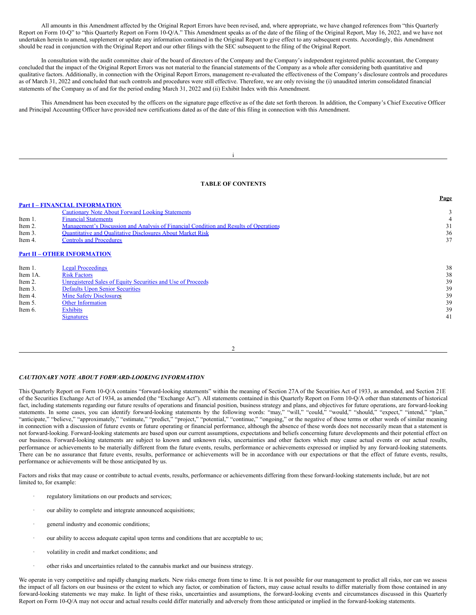All amounts in this Amendment affected by the Original Report Errors have been revised, and, where appropriate, we have changed references from "this Quarterly Report on Form 10-Q" to "this Quarterly Report on Form 10-Q/A." This Amendment speaks as of the date of the filing of the Original Report, May 16, 2022, and we have not undertaken herein to amend, supplement or update any information contained in the Original Report to give effect to any subsequent events. Accordingly, this Amendment should be read in conjunction with the Original Report and our other filings with the SEC subsequent to the filing of the Original Report.

In consultation with the audit committee chair of the board of directors of the Company and the Company's independent registered public accountant, the Company concluded that the impact of the Original Report Errors was not material to the financial statements of the Company as a whole after considering both quantitative and qualitative factors. Additionally, in connection with the Original Report Errors, management re-evaluated the effectiveness of the Company's disclosure controls and procedures as of March 31, 2022 and concluded that such controls and procedures were still effective. Therefore, we are only revising the (i) unaudited interim consolidated financial statements of the Company as of and for the period ending March 31, 2022 and (ii) Exhibit Index with this Amendment.

This Amendment has been executed by the officers on the signature page effective as of the date set forth thereon. In addition, the Company's Chief Executive Officer and Principal Accounting Officer have provided new certifications dated as of the date of this filing in connection with this Amendment.

#### i

# **TABLE OF CONTENTS**

|          |                                                                                       | Page |
|----------|---------------------------------------------------------------------------------------|------|
|          | <b>Part I - FINANCIAL INFORMATION</b>                                                 |      |
|          | <b>Cautionary Note About Forward Looking Statements</b>                               | 3    |
| Item 1.  | <b>Financial Statements</b>                                                           |      |
| Item 2.  | Management's Discussion and Analysis of Financial Condition and Results of Operations | 31   |
| Item 3.  | <b>Quantitative and Qualitative Disclosures About Market Risk</b>                     | 36   |
| Item 4.  | <b>Controls and Procedures</b>                                                        | 37   |
|          | <b>Part II - OTHER INFORMATION</b>                                                    |      |
| Item 1.  | <b>Legal Proceedings</b>                                                              | 38   |
| Item 1A. | <b>Risk Factors</b>                                                                   | 38   |
| Item 2.  | Unregistered Sales of Equity Securities and Use of Proceeds                           | 39   |
| Item 3.  | <b>Defaults Upon Senior Securities</b>                                                | 39   |
| Item 4.  | <b>Mine Safety Disclosures</b>                                                        | 39   |
| Item 5.  | <b>Other Information</b>                                                              | 39   |
| Item 6.  | <b>Exhibits</b>                                                                       | 39   |
|          | <b>Signatures</b>                                                                     | 41   |
|          |                                                                                       |      |

2

#### *CAUTIONARY NOTE ABOUT FORWARD-LOOKING INFORMATION*

This Quarterly Report on Form 10-Q/A contains "forward-looking statements" within the meaning of Section 27A of the Securities Act of 1933, as amended, and Section 21E of the Securities Exchange Act of 1934, as amended (the "Exchange Act"). All statements contained in this Quarterly Report on Form 10-Q/A other than statements of historical fact, including statements regarding our future results of operations and financial position, business strategy and plans, and objectives for future operations, are forward-looking statements. In some cases, you can identify forward-looking statements by the following words: "may," "will," "could," "would," "should," "expect," "intend," "plan," "anticipate," "believe," "approximately," "estimate," "predict," "project," "potential," "continue," "ongoing," or the negative of these terms or other words of similar meaning in connection with a discussion of future events or future operating or financial performance, although the absence of these words does not necessarily mean that a statement is not forward-looking. Forward-looking statements are based upon our current assumptions, expectations and beliefs concerning future developments and their potential effect on our business. Forward-looking statements are subject to known and unknown risks, uncertainties and other factors which may cause actual events or our actual results, performance or achievements to be materially different from the future events, results, performance or achievements expressed or implied by any forward-looking statements. There can be no assurance that future events, results, performance or achievements will be in accordance with our expectations or that the effect of future events, results, performance or achievements will be those anticipated by us.

Factors and risks that may cause or contribute to actual events, results, performance or achievements differing from these forward-looking statements include, but are not limited to, for example:

- regulatory limitations on our products and services;
- our ability to complete and integrate announced acquisitions;
- general industry and economic conditions;
- our ability to access adequate capital upon terms and conditions that are acceptable to us;
- volatility in credit and market conditions; and
- other risks and uncertainties related to the cannabis market and our business strategy.

We operate in very competitive and rapidly changing markets. New risks emerge from time to time. It is not possible for our management to predict all risks, nor can we assess the impact of all factors on our business or the extent to which any factor, or combination of factors, may cause actual results to differ materially from those contained in any forward-looking statements we may make. In light of these risks, uncertainties and assumptions, the forward-looking events and circumstances discussed in this Quarterly Report on Form 10-Q/A may not occur and actual results could differ materially and adversely from those anticipated or implied in the forward-looking statements.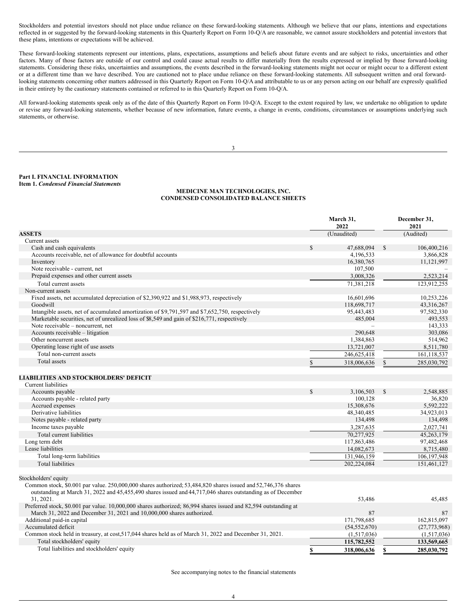Stockholders and potential investors should not place undue reliance on these forward-looking statements. Although we believe that our plans, intentions and expectations reflected in or suggested by the forward-looking statements in this Quarterly Report on Form 10-Q/A are reasonable, we cannot assure stockholders and potential investors that these plans, intentions or expectations will be achieved.

These forward-looking statements represent our intentions, plans, expectations, assumptions and beliefs about future events and are subject to risks, uncertainties and other factors. Many of those factors are outside of our control and could cause actual results to differ materially from the results expressed or implied by those forward-looking statements. Considering these risks, uncertainties and assumptions, the events described in the forward-looking statements might not occur or might occur to a different extent or at a different time than we have described. You are cautioned not to place undue reliance on these forward-looking statements. All subsequent written and oral forwardlooking statements concerning other matters addressed in this Quarterly Report on Form 10-Q/A and attributable to us or any person acting on our behalf are expressly qualified in their entirety by the cautionary statements contained or referred to in this Quarterly Report on Form 10-Q/A.

All forward-looking statements speak only as of the date of this Quarterly Report on Form 10-Q/A. Except to the extent required by law, we undertake no obligation to update or revise any forward-looking statements, whether because of new information, future events, a change in events, conditions, circumstances or assumptions underlying such statements, or otherwise.

# **Part I. FINANCIAL INFORMATION**

<span id="page-2-0"></span>**Item 1.** *Condensed Financial Statements*

# **MEDICINE MAN TECHNOLOGIES, INC. CONDENSED CONSOLIDATED BALANCE SHEETS**

|                                                                                                                          |               | March 31,<br>2022 |              | December 31,<br>2021 |
|--------------------------------------------------------------------------------------------------------------------------|---------------|-------------------|--------------|----------------------|
| <b>ASSETS</b>                                                                                                            |               | (Unaudited)       |              | (Audited)            |
| Current assets                                                                                                           |               |                   |              |                      |
| Cash and cash equivalents                                                                                                | $\mathbb{S}$  | 47,688,094        | $\mathbb{S}$ | 106,400,216          |
| Accounts receivable, net of allowance for doubtful accounts                                                              |               | 4,196,533         |              | 3,866,828            |
| Inventory                                                                                                                |               | 16,380,765        |              | 11,121,997           |
| Note receivable - current, net                                                                                           |               | 107,500           |              |                      |
| Prepaid expenses and other current assets                                                                                |               | 3,008,326         |              | 2,523,214            |
| Total current assets                                                                                                     |               | 71,381,218        |              | 123,912,255          |
| Non-current assets                                                                                                       |               |                   |              |                      |
| Fixed assets, net accumulated depreciation of \$2,390,922 and \$1,988,973, respectively                                  |               | 16,601,696        |              | 10.253.226           |
| Goodwill                                                                                                                 |               | 118,698,717       |              | 43,316,267           |
| Intangible assets, net of accumulated amortization of \$9,791,597 and \$7,652,750, respectively                          |               | 95,443,483        |              | 97,582,330           |
| Marketable securities, net of unrealized loss of \$8,549 and gain of \$216,771, respectively                             |               | 485,004           |              | 493,553              |
| Note receivable – noncurrent, net                                                                                        |               |                   |              | 143,333              |
| Accounts receivable – litigation                                                                                         |               | 290,648           |              | 303,086              |
| Other noncurrent assets                                                                                                  |               | 1,384,863         |              | 514,962              |
| Operating lease right of use assets                                                                                      |               | 13,721,007        |              | 8,511,780            |
| Total non-current assets                                                                                                 |               |                   |              |                      |
|                                                                                                                          |               | 246,625,418       |              | 161,118,537          |
| <b>Total assets</b>                                                                                                      | $\mathbf S$   | 318,006,636       | \$           | 285,030,792          |
| <b>LIABILITIES AND STOCKHOLDERS' DEFICIT</b>                                                                             |               |                   |              |                      |
| Current liabilities                                                                                                      |               |                   |              |                      |
| Accounts payable                                                                                                         | $\mathcal{S}$ | 3,106,503         | $\mathbb{S}$ | 2,548,885            |
| Accounts payable - related party                                                                                         |               | 100.128           |              | 36,820               |
| Accrued expenses                                                                                                         |               | 15,308,676        |              | 5,592,222            |
| Derivative liabilities                                                                                                   |               | 48,340,485        |              | 34,923,013           |
| Notes payable - related party                                                                                            |               | 134,498           |              | 134,498              |
| Income taxes payable                                                                                                     |               | 3,287,635         |              | 2,027,741            |
| Total current liabilities                                                                                                |               | 70,277,925        |              | 45,263,179           |
| Long term debt                                                                                                           |               | 117,863,486       |              | 97,482,468           |
| Lease liabilities                                                                                                        |               | 14,082,673        |              | 8,715,480            |
| Total long-term liabilities                                                                                              |               | 131,946,159       |              | 106,197,948          |
|                                                                                                                          |               |                   |              |                      |
| <b>Total liabilities</b>                                                                                                 |               | 202.224.084       |              | 151,461,127          |
| Stockholders' equity                                                                                                     |               |                   |              |                      |
| Common stock, \$0.001 par value. 250,000,000 shares authorized; 53,484,820 shares issued and 52,746,376 shares           |               |                   |              |                      |
| outstanding at March 31, 2022 and 45,455,490 shares issued and 44,717,046 shares outstanding as of December<br>31, 2021. |               | 53,486            |              | 45,485               |
| Preferred stock, \$0.001 par value. 10,000,000 shares authorized; 86,994 shares issued and 82,594 outstanding at         |               |                   |              |                      |
| March 31, 2022 and December 31, 2021 and 10,000,000 shares authorized.                                                   |               | 87                |              | 87                   |
| Additional paid-in capital                                                                                               |               | 171,798,685       |              | 162,815,097          |
| Accumulated deficit                                                                                                      |               | (54, 552, 670)    |              | (27,773,968)         |
| Common stock held in treasury, at cost, 517, 044 shares held as of March 31, 2022 and December 31, 2021.                 |               | (1,517,036)       |              | (1,517,036)          |
| Total stockholders' equity                                                                                               |               | 115,782,552       |              | 133,569,665          |
| Total liabilities and stockholders' equity                                                                               |               | 318,006,636       |              | 285,030,792          |
|                                                                                                                          | \$            |                   | \$           |                      |

See accompanying notes to the financial statements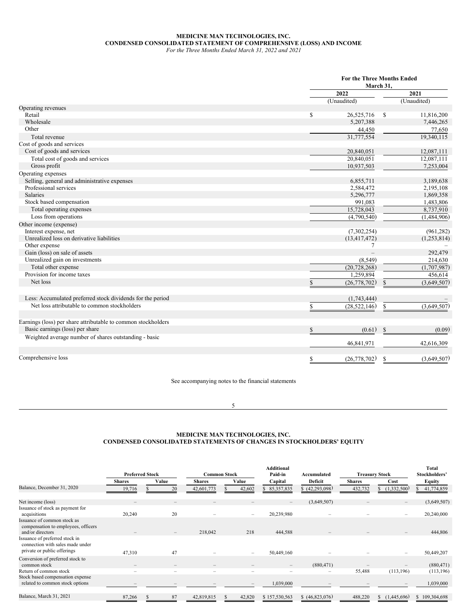# **MEDICINE MAN TECHNOLOGIES, INC. CONDENSED CONSOLIDATED STATEMENT OF COMPREHENSIVE (LOSS) AND INCOME**

*For the Three Months Ended March 31, 2022 and 2021*

|                                                               |                     | <b>For the Three Months Ended</b><br>March 31, |  |  |
|---------------------------------------------------------------|---------------------|------------------------------------------------|--|--|
|                                                               | 2022                | 2021                                           |  |  |
|                                                               | (Unaudited)         | (Unaudited)                                    |  |  |
| Operating revenues                                            |                     |                                                |  |  |
| Retail                                                        | \$                  | 26,525,716<br>\$<br>11,816,200                 |  |  |
| Wholesale                                                     |                     | 5,207,388<br>7,446,265                         |  |  |
| Other                                                         |                     | 44,450<br>77,650                               |  |  |
| Total revenue                                                 | 31,777,554          | 19,340,115                                     |  |  |
| Cost of goods and services                                    |                     |                                                |  |  |
| Cost of goods and services                                    | 20,840,051          | 12,087,111                                     |  |  |
| Total cost of goods and services                              | 20,840,051          | 12,087,111                                     |  |  |
| Gross profit                                                  | 10,937,503          | 7,253,004                                      |  |  |
| Operating expenses                                            |                     |                                                |  |  |
| Selling, general and administrative expenses                  |                     | 6,855,711<br>3,189,638                         |  |  |
| Professional services                                         |                     | 2,584,472<br>2,195,108                         |  |  |
| <b>Salaries</b>                                               |                     | 1,869,358<br>5,296,777                         |  |  |
| Stock based compensation                                      |                     | 991,083<br>1,483,806                           |  |  |
| Total operating expenses                                      |                     | 8,737,910<br>15,728,043                        |  |  |
| Loss from operations                                          |                     | (4,790,540)<br>(1,484,906)                     |  |  |
| Other income (expense)                                        |                     |                                                |  |  |
| Interest expense, net                                         |                     | (7,302,254)<br>(961, 282)                      |  |  |
| Unrealized loss on derivative liabilities                     |                     | (13, 417, 472)<br>(1,253,814)                  |  |  |
| Other expense                                                 |                     | 7                                              |  |  |
| Gain (loss) on sale of assets                                 |                     | 292,479                                        |  |  |
| Unrealized gain on investments                                |                     | (8, 549)<br>214,630                            |  |  |
| Total other expense                                           | (20, 728, 268)      | (1,707,987)                                    |  |  |
| Provision for income taxes                                    |                     | 1,259,894<br>456,614                           |  |  |
| Net loss                                                      | S<br>(26, 778, 702) | \$<br>(3,649,507)                              |  |  |
| Less: Accumulated preferred stock dividends for the period    |                     | (1,743,444)                                    |  |  |
| Net loss attributable to common stockholders                  | S.                  | (28, 522, 146)<br>\$<br>(3,649,507)            |  |  |
| Earnings (loss) per share attributable to common stockholders |                     |                                                |  |  |
| Basic earnings (loss) per share                               | S                   | (0.61)<br>(0.09)<br><sup>\$</sup>              |  |  |
| Weighted average number of shares outstanding - basic         |                     |                                                |  |  |
|                                                               | 46,841,971          | 42,616,309                                     |  |  |
| Comprehensive loss                                            | S<br>(26, 778, 702) | (3,649,507)<br>S                               |  |  |

See accompanying notes to the financial statements

5

# **MEDICINE MAN TECHNOLOGIES, INC. CONDENSED CONSOLIDATED STATEMENTS OF CHANGES IN STOCKHOLDERS' EQUITY**

|                                                                                                   |                          |                          |                          |                          | <b>Additional</b> |                                                                           |               |                       | <b>Total</b>  |
|---------------------------------------------------------------------------------------------------|--------------------------|--------------------------|--------------------------|--------------------------|-------------------|---------------------------------------------------------------------------|---------------|-----------------------|---------------|
|                                                                                                   | <b>Preferred Stock</b>   |                          |                          | <b>Common Stock</b>      |                   | Paid-in<br>Accumulated                                                    |               | <b>Treasury Stock</b> |               |
|                                                                                                   | <b>Shares</b>            | Value                    | <b>Shares</b>            | Value                    | Capital           | <b>Deficit</b>                                                            | <b>Shares</b> | Cost                  | <b>Equity</b> |
| Balance, December 31, 2020                                                                        | 19,716                   | 20                       | 42,601,773               | 42,602                   | 85, 357, 835      | (42,293,098)                                                              | 432,732       | (1,332,500)           | 41,774,859    |
|                                                                                                   |                          |                          |                          |                          |                   |                                                                           |               |                       |               |
| Net income (loss)                                                                                 | $\qquad \qquad -$        |                          |                          |                          |                   | (3,649,507)                                                               |               |                       | (3,649,507)   |
| Issuance of stock as payment for                                                                  |                          |                          |                          |                          |                   |                                                                           |               |                       |               |
| acquisitions                                                                                      | 20,240                   | 20                       |                          | $\overline{\phantom{a}}$ | 20,239,980        |                                                                           |               |                       | 20,240,000    |
| Issuance of common stock as<br>compensation to employees, officers                                |                          |                          |                          |                          |                   |                                                                           |               |                       |               |
| and/or directors                                                                                  |                          |                          | 218,042                  | 218                      | 444,588           |                                                                           |               |                       | 444,806       |
| Issuance of preferred stock in<br>connection with sales made under<br>private or public offerings |                          |                          |                          |                          |                   |                                                                           |               |                       |               |
|                                                                                                   | 47,310                   | 47                       |                          | $\overline{\phantom{a}}$ | 50,449,160        |                                                                           |               |                       | 50,449,207    |
| Conversion of preferred stock to<br>common stock                                                  |                          |                          |                          |                          |                   | (880, 471)                                                                |               |                       | (880, 471)    |
| Return of common stock                                                                            | $\overline{\phantom{0}}$ | $\overline{\phantom{a}}$ | $\overline{\phantom{a}}$ | $\qquad \qquad$          | -                 | $\hspace{1.0cm} \rule{1.5cm}{0.15cm} \hspace{1.0cm} \rule{1.5cm}{0.15cm}$ | 55,488        | (113, 196)            | (113, 196)    |
| Stock based compensation expense<br>related to common stock options                               |                          |                          |                          |                          | 1,039,000         |                                                                           |               |                       | 1,039,000     |
| Balance, March 31, 2021                                                                           | 87,266                   | 87                       | 42,819,815               | 42,820                   | \$157,530,563     | \$ (46,823,076)                                                           | 488,220       | (1,445,696)           | \$109,304,698 |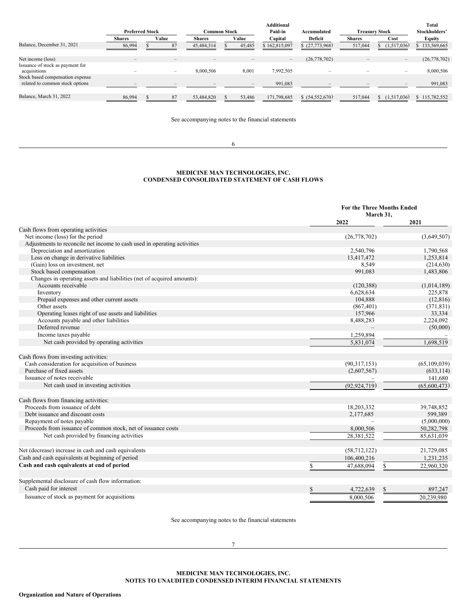|                                                                     |                                 |                        |                              |                     |        | <b>Additional</b> |                |                                 |                                           | Total         |
|---------------------------------------------------------------------|---------------------------------|------------------------|------------------------------|---------------------|--------|-------------------|----------------|---------------------------------|-------------------------------------------|---------------|
|                                                                     |                                 | <b>Preferred Stock</b> |                              | <b>Common Stock</b> |        | Paid-in           | Accumulated    |                                 | <b>Treasury Stock</b>                     | Stockholders' |
|                                                                     | <b>Shares</b>                   |                        | Value                        | <b>Shares</b>       | Value  | Capital           | <b>Deficit</b> | <b>Shares</b>                   | Cost                                      | Equity        |
| Balance, December 31, 2021                                          | 86.994                          |                        | 87                           | 45,484,314          | 45,485 | \$162,815,097     | \$(27,773,968) | 517,044                         | (1,517,036)                               | \$133,569,665 |
|                                                                     |                                 |                        |                              |                     |        |                   |                |                                 |                                           |               |
| Net income (loss)                                                   | $\hspace{0.1mm}-\hspace{0.1mm}$ |                        | $\qquad \qquad \blacksquare$ |                     |        | $\qquad \qquad -$ | (26, 778, 702) | $\hspace{0.1mm}-\hspace{0.1mm}$ | $\qquad \qquad \overline{\qquad \qquad }$ | (26,778,702)  |
| Issuance of stock as payment for                                    |                                 |                        |                              |                     |        |                   |                |                                 |                                           |               |
| acquisitions                                                        |                                 |                        | -                            | 8,000,506           | 8,001  | 7,992,505         |                |                                 |                                           | 8,000,506     |
| Stock based compensation expense<br>related to common stock options |                                 |                        |                              |                     |        | 991,083           |                |                                 |                                           | 991,083       |
| Balance, March 31, 2022                                             | 86,994                          |                        | 87                           | 53,484,820          | 53,486 | 171,798,685       | \$(54,552,670) | 517,044                         | (1,517,036)                               | \$115,782,552 |

See accompanying notes to the financial statements

6

# **MEDICINE MAN TECHNOLOGIES, INC. CONDENSED CONSOLIDATED STATEMENT OF CASH FLOWS**

|                                                                          | For the Three Months Ended<br>March 31, |                |
|--------------------------------------------------------------------------|-----------------------------------------|----------------|
|                                                                          | 2022                                    | 2021           |
| Cash flows from operating activities                                     |                                         |                |
| Net income (loss) for the period                                         | (26, 778, 702)                          | (3,649,507)    |
| Adjustments to reconcile net income to cash used in operating activities |                                         |                |
| Depreciation and amortization                                            | 2,540,796                               | 1,790,568      |
| Loss on change in derivative liabilities                                 | 13,417,472                              | 1,253,814      |
| (Gain) loss on investment, net                                           | 8,549                                   | (214, 630)     |
| Stock based compensation                                                 | 991,083                                 | 1,483,806      |
| Changes in operating assets and liabilities (net of acquired amounts):   |                                         |                |
| Accounts receivable                                                      | (120, 388)                              | (1,014,189)    |
| Inventory                                                                | 6,628,634                               | 225,878        |
| Prepaid expenses and other current assets                                | 104,888                                 | (12, 816)      |
| Other assets                                                             | (867, 401)                              | (371, 831)     |
| Operating leases right of use assets and liabilities                     | 157,966                                 | 33,334         |
| Accounts payable and other liabilities                                   | 8,488,283                               | 2,224,092      |
| Deferred revenue                                                         |                                         | (50,000)       |
| Income taxes payable                                                     | 1,259,894                               |                |
| Net cash provided by operating activities                                | 5,831,074                               | 1,698,519      |
| Cash flows from investing activities:                                    |                                         |                |
| Cash consideration for acquisition of business                           | (90,317,153)                            | (65, 109, 039) |
| Purchase of fixed assets                                                 | (2,607,567)                             | (633, 114)     |
| Issuance of notes receivable                                             |                                         | 141,680        |
| Net cash used in investing activities                                    | (92, 924, 719)                          | (65,600,473)   |
| Cash flows from financing activities:                                    |                                         |                |
| Proceeds from issuance of debt                                           | 18,203,332                              | 39,748,852     |
| Debt issuance and discount costs                                         | 2,177,685                               | 599,389        |
| Repayment of notes payable                                               |                                         | (5,000,000)    |
| Proceeds from issuance of common stock, net of issuance costs            | 8,000,506                               | 50,282,798     |
| Net cash provided by financing activities                                | 28,381,522                              | 85,631,039     |
| Net (decrease) increase in cash and cash equivalents                     | (58, 712, 122)                          | 21,729,085     |
| Cash and cash equivalents at beginning of period                         | 106,400,216                             | 1,231,235      |
| Cash and cash equivalents at end of period                               | 47,688,094<br>S.<br>S                   | 22,960,320     |
| Supplemental disclosure of cash flow information:                        |                                         |                |
| Cash paid for interest                                                   | 4,722,639<br><sup>\$</sup><br>S         | 897,247        |
| Issuance of stock as payment for acquisitions                            | 8.000.506                               | 20.239.980     |

See accompanying notes to the financial statements

7

**MEDICINE MAN TECHNOLOGIES, INC. NOTES TO UNAUDITED CONDENSED INTERIM FINANCIAL STATEMENTS**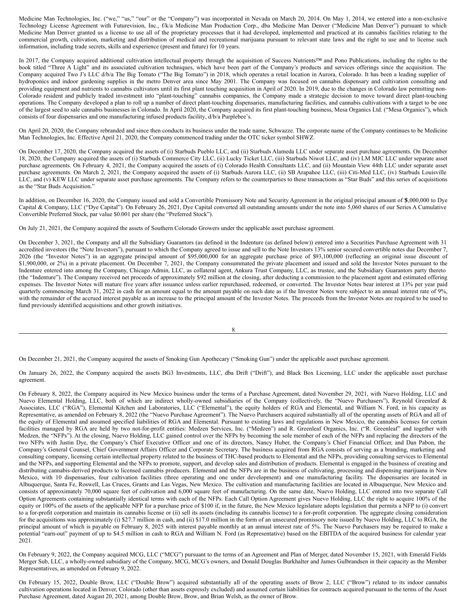Medicine Man Technologies, Inc. ("we," "us," "our" or the "Company") was incorporated in Nevada on March 20, 2014. On May 1, 2014, we entered into a non-exclusive Technology License Agreement with Futurevision, Inc., f/k/a Medicine Man Production Corp., dba Medicine Man Denver ("Medicine Man Denver") pursuant to which Medicine Man Denver granted us a license to use all of the proprietary processes that it had developed, implemented and practiced at its cannabis facilities relating to the commercial growth, cultivation, marketing and distribution of medical and recreational marijuana pursuant to relevant state laws and the right to use and to license such information, including trade secrets, skills and experience (present and future) for 10 years.

In 2017, the Company acquired additional cultivation intellectual property through the acquisition of Success Nutrients™ and Pono Publications, including the rights to the book titled "Three A Light" and its associated cultivation techniques, which have been part of the Company's products and services offerings since the acquisition. The Company acquired Two J's LLC d/b/a The Big Tomato ("The Big Tomato") in 2018, which operates a retail location in Aurora, Colorado. It has been a leading supplier of hydroponics and indoor gardening supplies in the metro Denver area since May 2001. The Company was focused on cannabis dispensary and cultivation consulting and providing equipment and nutrients to cannabis cultivators until its first plant touching acquisition in April of 2020. In 2019, due to the changes in Colorado law permitting non-Colorado resident and publicly traded investment into "plant-touching" cannabis companies, the Company made a strategic decision to move toward direct plant-touching operations. The Company developed a plan to roll up a number of direct plant-touching dispensaries, manufacturing facilities, and cannabis cultivations with a target to be one of the largest seed to sale cannabis businesses in Colorado. In April 2020, the Company acquired its first plant-touching business, Mesa Organics Ltd. ("Mesa Organics"), which consists of four dispensaries and one manufacturing infused products facility, d/b/a Purplebee's.

On April 20, 2020, the Company rebranded and since then conducts its business under the trade name, Schwazze. The corporate name of the Company continues to be Medicine Man Technologies, Inc. Effective April 21, 2020, the Company commenced trading under the OTC ticker symbol SHWZ.

On December 17, 2020, the Company acquired the assets of (i) Starbuds Pueblo LLC, and (ii) Starbuds Alameda LLC under separate asset purchase agreements. On December 18, 2020, the Company acquired the assets of (i) Starbuds Commerce City LLC, (ii) Lucky Ticket LLC, (iii) Starbuds Niwot LLC, and (iv) LM MJC LLC under separate asset purchase agreements. On February 4, 2021, the Company acquired the assets of (i) Colorado Health Consultants LLC, and (ii) Mountain View 44th LLC under separate asset purchase agreements. On March 2, 2021, the Company acquired the assets of (i) Starbuds Aurora LLC, (ii) SB Arapahoe LLC, (iii) Citi-Med LLC, (iv) Starbuds Louisville LLC, and (v) KEW LLC under separate asset purchase agreements. The Company refers to the counterparties to these transactions as "Star Buds" and this series of acquisitions as the "Star Buds Acquisition."

In addition, on December 16, 2020, the Company issued and sold a Convertible Promissory Note and Security Agreement in the original principal amount of \$5,000,000 to Dye Capital & Company, LLC ("Dye Capital"). On February 26, 2021, Dye Capital converted all outstanding amounts under the note into 5,060 shares of our Series A Cumulative Convertible Preferred Stock, par value \$0.001 per share (the "Preferred Stock").

On July 21, 2021, the Company acquired the assets of Southern Colorado Growers under the applicable asset purchase agreement.

On December 3, 2021, the Company and all the Subsidiary Guarantors (as defined in the Indenture (as defined below)) entered into a Securities Purchase Agreement with 31 accredited investors (the "Note Investors"), pursuant to which the Company agreed to issue and sell to the Note Investors 13% senior secured convertible notes due December 7, 2026 (the "Investor Notes") in an aggregate principal amount of \$95,000,000 for an aggregate purchase price of \$93,100,000 (reflecting an original issue discount of \$1,900,000, or 2%) in a private placement. On December 7, 2021, the Company consummated the private placement and issued and sold the Investor Notes pursuant to the Indenture entered into among the Company, Chicago Admin, LLC, as collateral agent, Ankura Trust Company, LLC, as trustee, and the Subsidiary Guarantors party thereto (the "Indenture"). The Company received net proceeds of approximately \$92 million at the closing, after deducting a commission to the placement agent and estimated offering expenses. The Investor Notes will mature five years after issuance unless earlier repurchased, redeemed, or converted. The Investor Notes bear interest at 13% per year paid quarterly commencing March 31, 2022 in cash for an amount equal to the amount payable on such date as if the Investor Notes were subject to an annual interest rate of 9%, with the remainder of the accrued interest payable as an increase to the principal amount of the Investor Notes. The proceeds from the Investor Notes are required to be used to fund previously identified acquisitions and other growth initiatives.

```
8
```
On December 21, 2021, the Company acquired the assets of Smoking Gun Apothecary ("Smoking Gun") under the applicable asset purchase agreement.

On January 26, 2022, the Company acquired the assets BG3 Investments, LLC, dba Drift ("Drift"), and Black Box Licensing, LLC under the applicable asset purchase agreement.

On February 8, 2022, the Company acquired its New Mexico business under the terms of a Purchase Agreement, dated November 29, 2021, with Nuevo Holding, LLC and Nuevo Elemental Holding, LLC, both of which are indirect wholly-owned subsidiaries of the Company (collectively, the "Nuevo Purchasers"), Reynold Greenleaf & Associates, LLC ("RGA"), Elemental Kitchen and Laboratories, LLC ("Elemental"), the equity holders of RGA and Elemental, and William N. Ford, in his capacity as Representative, as amended on February 8, 2022 (the "Nuevo Purchase Agreement"). The Nuevo Purchasers acquired substantially all of the operating assets of RGA and all of the equity of Elemental and assumed specified liabilities of RGA and Elemental. Pursuant to existing laws and regulations in New Mexico, the cannabis licenses for certain facilities managed by RGA are held by two not-for-profit entities: Medzen Services, Inc. ("Medzen") and R. Greenleaf Organics, Inc. ("R. Greenleaf" and together with Medzen, the "NFPs"). At the closing, Nuevo Holding, LLC gained control over the NFPs by becoming the sole member of each of the NFPs and replacing the directors of the two NFPs with Justin Dye, the Company's Chief Executive Officer and one of its directors, Nancy Huber, the Company's Chief Financial Officer, and Dan Pabon, the Company's General Counsel, Chief Government Affairs Officer and Corporate Secretary. The business acquired from RGA consists of serving as a branding, marketing and consulting company, licensing certain intellectual property related to the business of THC-based products to Elemental and the NFPs, providing consulting services to Elemental and the NFPs, and supporting Elemental and the NFPs to promote, support, and develop sales and distribution of products. Elemental is engaged in the business of creating and distributing cannabis-derived products to licensed cannabis producers. Elemental and the NFPs are in the business of cultivating, processing and dispensing marijuana in New Mexico, with 10 dispensaries, four cultivation facilities (three operating and one under development) and one manufacturing facility. The dispensaries are located in Albuquerque, Santa Fe, Roswell, Las Cruces, Grants and Las Vegas, New Mexico. The cultivation and manufacturing facilities are located in Albuquerque, New Mexico and consists of approximately 70,000 square feet of cultivation and 6,000 square feet of manufacturing. On the same date, Nuevo Holding, LLC entered into two separate Call Option Agreements containing substantially identical terms with each of the NFPs. Each Call Option Agreement gives Nuevo Holding, LLC the right to acquire 100% of the equity or 100% of the assets of the applicable NFP for a purchase price of \$100 if, in the future, the New Mexico legislature adopts legislation that permits a NFP to (i) convert to a for-profit corporation and maintain its cannabis license or (ii) sell its assets (including its cannabis license) to a for-profit corporation. The aggregate closing consideration for the acquisitions was approximately (i) \$27.7 million in cash, and (ii) \$17.0 million in the form of an unsecured promissory note issued by Nuevo Holding, LLC to RGA, the principal amount of which is payable on February 8, 2025 with interest payable monthly at an annual interest rate of 5%. The Nuevo Purchasers may be required to make a potential "earn-out" payment of up to \$4.5 million in cash to RGA and William N. Ford (as Representative) based on the EBITDA of the acquired business for calendar year 2021.

On February 9, 2022, the Company acquired MCG, LLC ("MCG") pursuant to the terms of an Agreement and Plan of Merger, dated November 15, 2021, with Emerald Fields Merger Sub, LLC, a wholly-owned subsidiary of the Company, MCG, MCG's owners, and Donald Douglas Burkhalter and James Gulbrandsen in their capacity as the Member Representatives, as amended on February 9, 2022.

On February 15, 2022, Double Brow, LLC ("Double Brow") acquired substantially all of the operating assets of Brow 2, LLC ("Brow") related to its indoor cannabis cultivation operations located in Denver, Colorado (other than assets expressly excluded) and assumed certain liabilities for contracts acquired pursuant to the terms of the Asset Purchase Agreement, dated August 20, 2021, among Double Brow, Brow, and Brian Welsh, as the owner of Brow.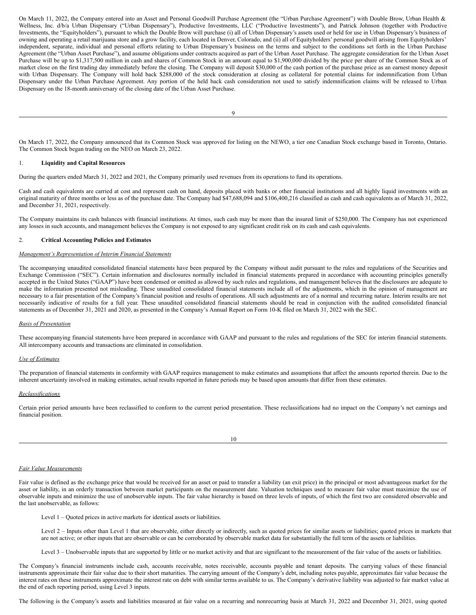On March 11, 2022, the Company entered into an Asset and Personal Goodwill Purchase Agreement (the "Urban Purchase Agreement") with Double Brow, Urban Health & Wellness, Inc. d/b/a Urban Dispensary ("Urban Dispensary"), Productive Investments, LLC ("Productive Investments"), and Patrick Johnson (together with Productive Investments, the "Equityholders"), pursuant to which the Double Brow will purchase (i) all of Urban Dispensary's assets used or held for use in Urban Dispensary's business of owning and operating a retail marijuana store and a grow facility, each located in Denver, Colorado, and (ii) all of Equityholders' personal goodwill arising from Equityholders' independent, separate, individual and personal efforts relating to Urban Dispensary's business on the terms and subject to the conditions set forth in the Urban Purchase Agreement (the "Urban Asset Purchase"), and assume obligations under contracts acquired as part of the Urban Asset Purchase. The aggregate consideration for the Urban Asset Purchase will be up to \$1,317,500 million in cash and shares of Common Stock in an amount equal to \$1,900,000 divided by the price per share of the Common Stock as of market close on the first trading day immediately before the closing. The Company will deposit \$30,000 of the cash portion of the purchase price as an earnest money deposit with Urban Dispensary. The Company will hold back \$288,000 of the stock consideration at closing as collateral for potential claims for indemnification from Urban Dispensary under the Urban Purchase Agreement. Any portion of the held back cash consideration not used to satisfy indemnification claims will be released to Urban Dispensary on the 18-month anniversary of the closing date of the Urban Asset Purchase.

On March 17, 2022, the Company announced that its Common Stock was approved for listing on the NEWO, a tier one Canadian Stock exchange based in Toronto, Ontario. The Common Stock began trading on the NEO on March 23, 2022.

### 1. **Liquidity and Capital Resources**

During the quarters ended March 31, 2022 and 2021, the Company primarily used revenues from its operations to fund its operations.

Cash and cash equivalents are carried at cost and represent cash on hand, deposits placed with banks or other financial institutions and all highly liquid investments with an original maturity of three months or less as of the purchase date. The Company had \$47,688,094 and \$106,400,216 classified as cash and cash equivalents as of March 31, 2022, and December 31, 2021, respectively.

The Company maintains its cash balances with financial institutions. At times, such cash may be more than the insured limit of \$250,000. The Company has not experienced any losses in such accounts, and management believes the Company is not exposed to any significant credit risk on its cash and cash equivalents.

### 2. **Critical Accounting Policies and Estimates**

#### *Management's Representation of Interim Financial Statements*

The accompanying unaudited consolidated financial statements have been prepared by the Company without audit pursuant to the rules and regulations of the Securities and Exchange Commission ("SEC"). Certain information and disclosures normally included in financial statements prepared in accordance with accounting principles generally accepted in the United States ("GAAP") have been condensed or omitted as allowed by such rules and regulations, and management believes that the disclosures are adequate to make the information presented not misleading. These unaudited consolidated financial statements include all of the adjustments, which in the opinion of management are necessary to a fair presentation of the Company's financial position and results of operations. All such adjustments are of a normal and recurring nature. Interim results are not necessarily indicative of results for a full year. These unaudited consolidated financial statements should be read in conjunction with the audited consolidated financial statements as of December 31, 2021 and 2020, as presented in the Company's Annual Report on Form 10-K filed on March 31, 2022 with the SEC.

### *Basis of Presentation*

These accompanying financial statements have been prepared in accordance with GAAP and pursuant to the rules and regulations of the SEC for interim financial statements. All intercompany accounts and transactions are eliminated in consolidation.

#### *Use of Estimates*

The preparation of financial statements in conformity with GAAP requires management to make estimates and assumptions that affect the amounts reported therein. Due to the inherent uncertainty involved in making estimates, actual results reported in future periods may be based upon amounts that differ from these estimates.

#### *Reclassifications*

Certain prior period amounts have been reclassified to conform to the current period presentation. These reclassifications had no impact on the Company's net earnings and financial position.

| I<br>٦<br>۰, |
|--------------|

#### *Fair Value Measurements*

Fair value is defined as the exchange price that would be received for an asset or paid to transfer a liability (an exit price) in the principal or most advantageous market for the asset or liability, in an orderly transaction between market participants on the measurement date. Valuation techniques used to measure fair value must maximize the use of observable inputs and minimize the use of unobservable inputs. The fair value hierarchy is based on three levels of inputs, of which the first two are considered observable and the last unobservable, as follows:

Level 1 – Quoted prices in active markets for identical assets or liabilities.

Level 2 – Inputs other than Level 1 that are observable, either directly or indirectly, such as quoted prices for similar assets or liabilities; quoted prices in markets that are not active; or other inputs that are observable or can be corroborated by observable market data for substantially the full term of the assets or liabilities.

Level 3 – Unobservable inputs that are supported by little or no market activity and that are significant to the measurement of the fair value of the assets or liabilities.

The Company's financial instruments include cash, accounts receivable, notes receivable, accounts payable and tenant deposits. The carrying values of these financial instruments approximate their fair value due to their short maturities. The carrying amount of the Company's debt, including notes payable, approximates fair value because the interest rates on these instruments approximate the interest rate on debt with similar terms available to us. The Company's derivative liability was adjusted to fair market value at the end of each reporting period, using Level 3 inputs.

The following is the Company's assets and liabilities measured at fair value on a recurring and nonrecurring basis at March 31, 2022 and December 31, 2021, using quoted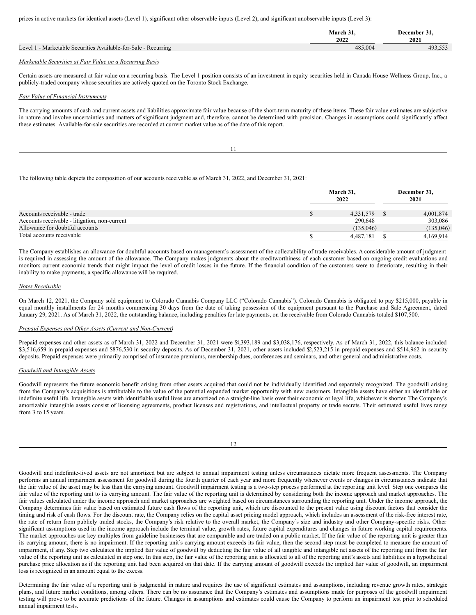prices in active markets for identical assets (Level 1), significant other observable inputs (Level 2), and significant unobservable inputs (Level 3):

|                                                                | March 31 | December 31. |
|----------------------------------------------------------------|----------|--------------|
|                                                                | 2022     | 2021         |
| Level 1 - Marketable Securities Available-for-Sale - Recurring | 485,004  | 493,553      |
|                                                                |          |              |

### *Marketable Securities at Fair Value on a Recurring Basis*

Certain assets are measured at fair value on a recurring basis. The Level 1 position consists of an investment in equity securities held in Canada House Wellness Group, Inc., a publicly-traded company whose securities are actively quoted on the Toronto Stock Exchange.

### *Fair Value of Financial Instruments*

The carrying amounts of cash and current assets and liabilities approximate fair value because of the short-term maturity of these items. These fair value estimates are subjective in nature and involve uncertainties and matters of significant judgment and, therefore, cannot be determined with precision. Changes in assumptions could significantly affect these estimates. Available-for-sale securities are recorded at current market value as of the date of this report.

# The following table depicts the composition of our accounts receivable as of March 31, 2022, and December 31, 2021:

|                                               |  | March 31,<br>2022 | December 31,<br>2021 |
|-----------------------------------------------|--|-------------------|----------------------|
| Accounts receivable - trade                   |  | 4,331,579         | 4,001,874            |
| Accounts receivable - litigation, non-current |  | 290,648           | 303,086              |
| Allowance for doubtful accounts               |  | (135.046)         | (135,046)            |
| Total accounts receivable                     |  | 4,487,181         | 4.169.914            |

The Company establishes an allowance for doubtful accounts based on management's assessment of the collectability of trade receivables. A considerable amount of judgment is required in assessing the amount of the allowance. The Company makes judgments about the creditworthiness of each customer based on ongoing credit evaluations and monitors current economic trends that might impact the level of credit losses in the future. If the financial condition of the customers were to deteriorate, resulting in their inability to make payments, a specific allowance will be required.

# *Notes Receivable*

On March 12, 2021, the Company sold equipment to Colorado Cannabis Company LLC ("Colorado Cannabis"). Colorado Cannabis is obligated to pay \$215,000, payable in equal monthly installments for 24 months commencing 30 days from the date of taking possession of the equipment pursuant to the Purchase and Sale Agreement, dated January 29, 2021. As of March 31, 2022, the outstanding balance, including penalties for late payments, on the receivable from Colorado Cannabis totaled \$107,500.

# *Prepaid Expenses and Other Assets (Current and Non-Current)*

Prepaid expenses and other assets as of March 31, 2022 and December 31, 2021 were \$4,393,189 and \$3,038,176, respectively. As of March 31, 2022, this balance included \$3,516,659 in prepaid expenses and \$876,530 in security deposits. As of December 31, 2021, other assets included \$2,523,215 in prepaid expenses and \$514,962 in security deposits. Prepaid expenses were primarily comprised of insurance premiums, membership dues, conferences and seminars, and other general and administrative costs.

# *Goodwill and Intangible Assets*

Goodwill represents the future economic benefit arising from other assets acquired that could not be individually identified and separately recognized. The goodwill arising from the Company's acquisitions is attributable to the value of the potential expanded market opportunity with new customers. Intangible assets have either an identifiable or indefinite useful life. Intangible assets with identifiable useful lives are amortized on a straight-line basis over their economic or legal life, whichever is shorter. The Company's amortizable intangible assets consist of licensing agreements, product licenses and registrations, and intellectual property or trade secrets. Their estimated useful lives range from 3 to 15 years.

| ٦ |
|---|
|   |

Goodwill and indefinite-lived assets are not amortized but are subject to annual impairment testing unless circumstances dictate more frequent assessments. The Company performs an annual impairment assessment for goodwill during the fourth quarter of each year and more frequently whenever events or changes in circumstances indicate that the fair value of the asset may be less than the carrying amount. Goodwill impairment testing is a two-step process performed at the reporting unit level. Step one compares the fair value of the reporting unit to its carrying amount. The fair value of the reporting unit is determined by considering both the income approach and market approaches. The fair values calculated under the income approach and market approaches are weighted based on circumstances surrounding the reporting unit. Under the income approach, the Company determines fair value based on estimated future cash flows of the reporting unit, which are discounted to the present value using discount factors that consider the timing and risk of cash flows. For the discount rate, the Company relies on the capital asset pricing model approach, which includes an assessment of the risk-free interest rate, the rate of return from publicly traded stocks, the Company's risk relative to the overall market, the Company's size and industry and other Company-specific risks. Other significant assumptions used in the income approach include the terminal value, growth rates, future capital expenditures and changes in future working capital requirements. The market approaches use key multiples from guideline businesses that are comparable and are traded on a public market. If the fair value of the reporting unit is greater than its carrying amount, there is no impairment. If the reporting unit's carrying amount exceeds its fair value, then the second step must be completed to measure the amount of impairment, if any. Step two calculates the implied fair value of goodwill by deducting the fair value of all tangible and intangible net assets of the reporting unit from the fair value of the reporting unit as calculated in step one. In this step, the fair value of the reporting unit is allocated to all of the reporting unit's assets and liabilities in a hypothetical purchase price allocation as if the reporting unit had been acquired on that date. If the carrying amount of goodwill exceeds the implied fair value of goodwill, an impairment loss is recognized in an amount equal to the excess.

Determining the fair value of a reporting unit is judgmental in nature and requires the use of significant estimates and assumptions, including revenue growth rates, strategic plans, and future market conditions, among others. There can be no assurance that the Company's estimates and assumptions made for purposes of the goodwill impairment testing will prove to be accurate predictions of the future. Changes in assumptions and estimates could cause the Company to perform an impairment test prior to scheduled annual impairment tests.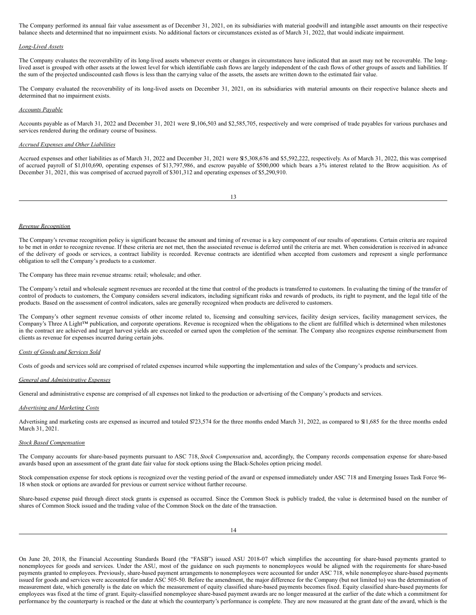The Company performed its annual fair value assessment as of December 31, 2021, on its subsidiaries with material goodwill and intangible asset amounts on their respective balance sheets and determined that no impairment exists. No additional factors or circumstances existed as of March 31, 2022, that would indicate impairment.

### *Long-Lived Assets*

The Company evaluates the recoverability of its long-lived assets whenever events or changes in circumstances have indicated that an asset may not be recoverable. The longlived asset is grouped with other assets at the lowest level for which identifiable cash flows are largely independent of the cash flows of other groups of assets and liabilities. If the sum of the projected undiscounted cash flows is less than the carrying value of the assets, the assets are written down to the estimated fair value.

The Company evaluated the recoverability of its long-lived assets on December 31, 2021, on its subsidiaries with material amounts on their respective balance sheets and determined that no impairment exists.

### *Accounts Payable*

Accounts payable as of March 31, 2022 and December 31, 2021 were \$3,106,503 and \$2,585,705, respectively and were comprised of trade payables for various purchases and services rendered during the ordinary course of business.

#### *Accrued Expenses and Other Liabilities*

Accrued expenses and other liabilities as of March 31, 2022 and December 31, 2021 were \$15,308,676 and \$5,592,222, respectively. As of March 31, 2022, this was comprised of accrued payroll of \$1,010,690, operating expenses of \$13,797,986, and escrow payable of \$500,000 which bears a 3% interest related to the Brow acquisition. As of December 31, 2021, this was comprised of accrued payroll of \$301,312 and operating expenses of \$5,290,910.

| ۰.<br>×<br>٠ |
|--------------|

#### *Revenue Recognition*

The Company's revenue recognition policy is significant because the amount and timing of revenue is a key component of our results of operations. Certain criteria are required to be met in order to recognize revenue. If these criteria are not met, then the associated revenue is deferred until the criteria are met. When consideration is received in advance of the delivery of goods or services, a contract liability is recorded. Revenue contracts are identified when accepted from customers and represent a single performance obligation to sell the Company's products to a customer.

The Company has three main revenue streams: retail; wholesale; and other.

The Company's retail and wholesale segment revenues are recorded at the time that control of the products is transferred to customers. In evaluating the timing of the transfer of control of products to customers, the Company considers several indicators, including significant risks and rewards of products, its right to payment, and the legal title of the products. Based on the assessment of control indicators, sales are generally recognized when products are delivered to customers.

The Company's other segment revenue consists of other income related to, licensing and consulting services, facility design services, facility management services, the Company's Three A Light™ publication, and corporate operations. Revenue is recognized when the obligations to the client are fulfilled which is determined when milestones in the contract are achieved and target harvest yields are exceeded or earned upon the completion of the seminar. The Company also recognizes expense reimbursement from clients as revenue for expenses incurred during certain jobs.

### *Costs of Goods and Services Sold*

Costs of goods and services sold are comprised of related expenses incurred while supporting the implementation and sales of the Company's products and services.

#### *General and Administrative Expenses*

General and administrative expense are comprised of all expenses not linked to the production or advertising of the Company's products and services.

#### *Advertising and Marketing Costs*

Advertising and marketing costs are expensed as incurred and totaled \$723,574 for the three months ended March 31, 2022, as compared to \$11,685 for the three months ended March 31, 2021.

#### *Stock Based Compensation*

The Company accounts for share-based payments pursuant to ASC 718, *Stock Compensation* and, accordingly, the Company records compensation expense for share-based awards based upon an assessment of the grant date fair value for stock options using the Black-Scholes option pricing model.

Stock compensation expense for stock options is recognized over the vesting period of the award or expensed immediately under ASC 718 and Emerging Issues Task Force 96- 18 when stock or options are awarded for previous or current service without further recourse.

Share-based expense paid through direct stock grants is expensed as occurred. Since the Common Stock is publicly traded, the value is determined based on the number of shares of Common Stock issued and the trading value of the Common Stock on the date of the transaction.

On June 20, 2018, the Financial Accounting Standards Board (the "FASB") issued ASU 2018-07 which simplifies the accounting for share-based payments granted to nonemployees for goods and services. Under the ASU, most of the guidance on such payments to nonemployees would be aligned with the requirements for share-based payments granted to employees. Previously, share-based payment arrangements to nonemployees were accounted for under ASC 718, while nonemployee share-based payments issued for goods and services were accounted for under ASC 505-50. Before the amendment, the major difference for the Company (but not limited to) was the determination of measurement date, which generally is the date on which the measurement of equity classified share-based payments becomes fixed. Equity classified share-based payments for employees was fixed at the time of grant. Equity-classified nonemployee share-based payment awards are no longer measured at the earlier of the date which a commitment for performance by the counterparty is reached or the date at which the counterparty's performance is complete. They are now measured at the grant date of the award, which is the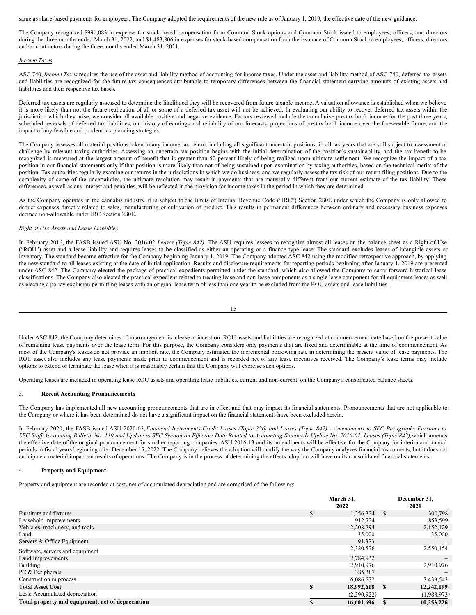same as share-based payments for employees. The Company adopted the requirements of the new rule as of January 1, 2019, the effective date of the new guidance.

The Company recognized \$991,083 in expense for stock-based compensation from Common Stock options and Common Stock issued to employees, officers, and directors during the three months ended March 31, 2022, and \$1,483,806 in expenses for stock-based compensation from the issuance of Common Stock to employees, officers, directors and/or contractors during the three months ended March 31, 2021.

### *Income Taxes*

ASC 740, *Income Taxes* requires the use of the asset and liability method of accounting for income taxes. Under the asset and liability method of ASC 740, deferred tax assets and liabilities are recognized for the future tax consequences attributable to temporary differences between the financial statement carrying amounts of existing assets and liabilities and their respective tax bases.

Deferred tax assets are regularly assessed to determine the likelihood they will be recovered from future taxable income. A valuation allowance is established when we believe it is more likely than not the future realization of all or some of a deferred tax asset will not be achieved. In evaluating our ability to recover deferred tax assets within the jurisdiction which they arise, we consider all available positive and negative evidence. Factors reviewed include the cumulative pre-tax book income for the past three years, scheduled reversals of deferred tax liabilities, our history of earnings and reliability of our forecasts, projections of pre-tax book income over the foreseeable future, and the impact of any feasible and prudent tax planning strategies.

The Company assesses all material positions taken in any income tax return, including all significant uncertain positions, in all tax years that are still subject to assessment or challenge by relevant taxing authorities. Assessing an uncertain tax position begins with the initial determination of the position's sustainability, and the tax benefit to be recognized is measured at the largest amount of benefit that is greater than 50 percent likely of being realized upon ultimate settlement. We recognize the impact of a tax position in our financial statements only if that position is more likely than not of being sustained upon examination by taxing authorities, based on the technical merits of the position. Tax authorities regularly examine our returns in the jurisdictions in which we do business, and we regularly assess the tax risk of our return filing positions. Due to the complexity of some of the uncertainties, the ultimate resolution may result in payments that are materially different from our current estimate of the tax liability. These differences, as well as any interest and penalties, will be reflected in the provision for income taxes in the period in which they are determined.

As the Company operates in the cannabis industry, it is subject to the limits of Internal Revenue Code ("IRC") Section 280E under which the Company is only allowed to deduct expenses directly related to sales, manufacturing or cultivation of product. This results in permanent differences between ordinary and necessary business expenses deemed non-allowable under IRC Section 280E.

### *Right of Use Assets and Lease Liabilities*

In February 2016, the FASB issued ASU No. 2016-02,*Leases (Topic 842)*. The ASU requires lessees to recognize almost all leases on the balance sheet as a Right-of-Use ("ROU") asset and a lease liability and requires leases to be classified as either an operating or a finance type lease. The standard excludes leases of intangible assets or inventory. The standard became effective for the Company beginning January 1, 2019. The Company adopted ASC 842 using the modified retrospective approach, by applying the new standard to all leases existing at the date of initial application. Results and disclosure requirements for reporting periods beginning after January 1, 2019 are presented under ASC 842. The Company elected the package of practical expedients permitted under the standard, which also allowed the Company to carry forward historical lease classifications. The Company also elected the practical expedient related to treating lease and non-lease components as a single lease component for all equipment leases as well as electing a policy exclusion permitting leases with an original lease term of less than one year to be excluded from the ROU assets and lease liabilities.

15

Under ASC 842, the Company determines if an arrangement is a lease at inception. ROU assets and liabilities are recognized at commencement date based on the present value of remaining lease payments over the lease term. For this purpose, the Company considers only payments that are fixed and determinable at the time of commencement. As most of the Company's leases do not provide an implicit rate, the Company estimated the incremental borrowing rate in determining the present value of lease payments. The ROU asset also includes any lease payments made prior to commencement and is recorded net of any lease incentives received. The Company's lease terms may include options to extend or terminate the lease when it is reasonably certain that the Company will exercise such options.

Operating leases are included in operating lease ROU assets and operating lease liabilities, current and non-current, on the Company's consolidated balance sheets.

# 3. **Recent Accounting Pronouncements**

The Company has implemented all new accounting pronouncements that are in effect and that may impact its financial statements. Pronouncements that are not applicable to the Company or where it has been determined do not have a significant impact on the financial statements have been excluded herein.

In February 2020, the FASB issued ASU 2020-02, Financial Instruments-Credit Losses (Topic 326) and Leases (Topic 842) - Amendments to SEC Paragraphs Pursuant to SEC Staff Accounting Bulletin No. 119 and Update to SEC Section on Effective Date Related to Accounting Standards Update No. 2016-02, Leases (Topic 842), which amends the effective date of the original pronouncement for smaller reporting companies. ASU 2016-13 and its amendments will be effective for the Company for interim and annual periods in fiscal years beginning after December 15, 2022. The Company believes the adoption will modify the way the Company analyzes financial instruments, but it does not anticipate a material impact on results of operations. The Company is in the process of determining the effects adoption will have on its consolidated financial statements.

### 4. **Property and Equipment**

Property and equipment are recorded at cost, net of accumulated depreciation and are comprised of the following:

|                                                   | March 31, |             |    | December 31, |
|---------------------------------------------------|-----------|-------------|----|--------------|
|                                                   |           | 2022        |    | 2021         |
| Furniture and fixtures                            |           | 1,256,324   | \$ | 300,798      |
| Leasehold improvements                            |           | 912,724     |    | 853,599      |
| Vehicles, machinery, and tools                    |           | 2,208,794   |    | 2,152,129    |
| Land                                              |           | 35,000      |    | 35,000       |
| Servers & Office Equipment                        |           | 91.373      |    |              |
| Software, servers and equipment                   |           | 2,320,576   |    | 2,550,154    |
| Land Improvements                                 |           | 2,784,932   |    |              |
| Building                                          |           | 2,910,976   |    | 2,910,976    |
| PC & Peripherals                                  |           | 385,387     |    |              |
| Construction in process                           |           | 6,086,532   |    | 3,439,543    |
| <b>Total Asset Cost</b>                           |           | 18,992,618  |    | 12,242,199   |
| Less: Accumulated depreciation                    |           | (2,390,922) |    | (1,988,973)  |
| Total property and equipment, net of depreciation |           | 16.601.696  |    | 10.253.226   |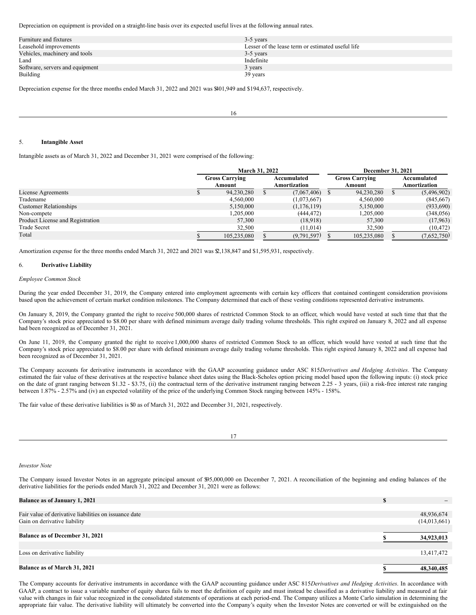Depreciation on equipment is provided on a straight-line basis over its expected useful lives at the following annual rates.

| 3-5 years                                         |
|---------------------------------------------------|
| Lesser of the lease term or estimated useful life |
| 3-5 years                                         |
| Indefinite                                        |
| 3 years                                           |
| 39 years                                          |
|                                                   |

Depreciation expense for the three months ended March 31, 2022 and 2021 was \$401,949 and \$194,637, respectively.

# 5. **Intangible Asset**

Intangible assets as of March 31, 2022 and December 31, 2021 were comprised of the following:

|                                  | <b>March 31, 2022</b>           |  |                             | December 31, 2021 |                                 |  |                             |
|----------------------------------|---------------------------------|--|-----------------------------|-------------------|---------------------------------|--|-----------------------------|
|                                  | <b>Gross Carrying</b><br>Amount |  | Accumulated<br>Amortization |                   | <b>Gross Carrying</b><br>Amount |  | Accumulated<br>Amortization |
| License Agreements               | 94,230,280                      |  | (7,067,406)                 |                   | 94,230,280                      |  | (5,496,902)                 |
| Tradename                        | 4,560,000                       |  | (1,073,667)                 |                   | 4,560,000                       |  | (845, 667)                  |
| <b>Customer Relationships</b>    | 5,150,000                       |  | (1,176,119)                 |                   | 5,150,000                       |  | (933,690)                   |
| Non-compete                      | 1,205,000                       |  | (444, 472)                  |                   | 1,205,000                       |  | (348, 056)                  |
| Product License and Registration | 57,300                          |  | (18,918)                    |                   | 57,300                          |  | (17,963)                    |
| <b>Trade Secret</b>              | 32,500                          |  | (11,014)                    |                   | 32,500                          |  | (10, 472)                   |
| Total                            | 105,235,080                     |  | (9,791,597)                 |                   | 105,235,080                     |  | (7,652,750)                 |

Amortization expense for the three months ended March 31, 2022 and 2021 was \$2,138,847 and \$1,595,931, respectively.

### 6. **Derivative Liability**

#### *Employee Common Stock*

During the year ended December 31, 2019, the Company entered into employment agreements with certain key officers that contained contingent consideration provisions based upon the achievement of certain market condition milestones. The Company determined that each of these vesting conditions represented derivative instruments.

On January 8, 2019, the Company granted the right to receive 500,000 shares of restricted Common Stock to an officer, which would have vested at such time that that the Company's stock price appreciated to \$8.00 per share with defined minimum average daily trading volume thresholds. This right expired on January 8, 2022 and all expense had been recognized as of December 31, 2021.

On June 11, 2019, the Company granted the right to receive 1,000,000 shares of restricted Common Stock to an officer, which would have vested at such time that the Company's stock price appreciated to \$8.00 per share with defined minimum average daily trading volume thresholds. This right expired January 8, 2022 and all expense had been recognized as of December 31, 2021.

The Company accounts for derivative instruments in accordance with the GAAP accounting guidance under ASC 815*Derivatives and Hedging Activities*. The Company estimated the fair value of these derivatives at the respective balance sheet dates using the Black-Scholes option pricing model based upon the following inputs: (i) stock price on the date of grant ranging between \$1.32 - \$3.75, (ii) the contractual term of the derivative instrument ranging between 2.25 - 3 years, (iii) a risk-free interest rate ranging between 1.87% - 2.57% and (iv) an expected volatility of the price of the underlying Common Stock ranging between 145% - 158%.

The fair value of these derivative liabilities is \$0 as of March 31, 2022 and December 31, 2021, respectively.

17

# *Investor Note*

The Company issued Investor Notes in an aggregate principal amount of \$95,000,000 on December 7, 2021. A reconciliation of the beginning and ending balances of the derivative liabilities for the periods ended March 31, 2022 and December 31, 2021 were as follows:

| <b>Balance as of January 1, 2021</b>                  |              |
|-------------------------------------------------------|--------------|
|                                                       |              |
| Fair value of derivative liabilities on issuance date | 48,936,674   |
| Gain on derivative liability                          | (14,013,661) |
|                                                       |              |
| Balance as of December 31, 2021                       | 34,923,013   |
|                                                       |              |
| Loss on derivative liability                          | 13,417,472   |
|                                                       |              |
| Balance as of March 31, 2021                          | 48,340,485   |

The Company accounts for derivative instruments in accordance with the GAAP accounting guidance under ASC 815*Derivatives and Hedging Activities*. In accordance with GAAP, a contract to issue a variable number of equity shares fails to meet the definition of equity and must instead be classified as a derivative liability and measured at fair value with changes in fair value recognized in the consolidated statements of operations at each period-end. The Company utilizes a Monte Carlo simulation in determining the appropriate fair value. The derivative liability will ultimately be converted into the Company's equity when the Investor Notes are converted or will be extinguished on the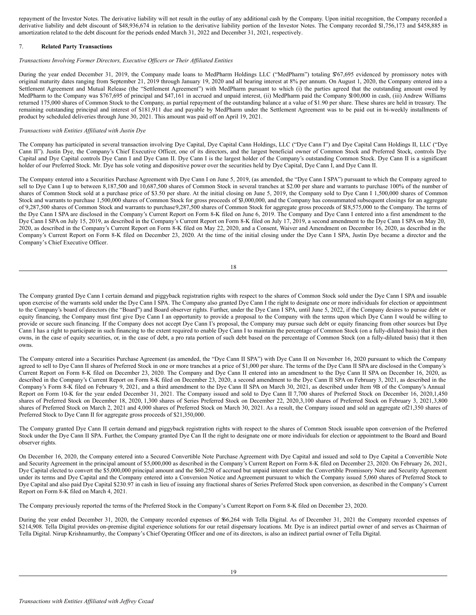repayment of the Investor Notes. The derivative liability will not result in the outlay of any additional cash by the Company. Upon initial recognition, the Company recorded a derivative liability and debt discount of \$48,936,674 in relation to the derivative liability portion of the Investor Notes. The Company recorded \$1,756,173 and \$458,885 in amortization related to the debt discount for the periods ended March 31, 2022 and December 31, 2021, respectively.

# 7. **Related Party Transactions**

### *Transactions Involving Former Directors, Executive Of icers or Their Af iliated Entities*

During the year ended December 31, 2019, the Company made loans to MedPharm Holdings LLC ("MedPharm") totaling \$767,695 evidenced by promissory notes with original maturity dates ranging from September 21, 2019 through January 19, 2020 and all bearing interest at 8% per annum. On August 1, 2020, the Company entered into a Settlement Agreement and Mutual Release (the "Settlement Agreement") with MedPharm pursuant to which (i) the parties agreed that the outstanding amount owed by MedPharm to the Company was \$767,695 of principal and \$47,161 in accrued and unpaid interest, (ii) MedPharm paid the Company \$100,000 in cash, (iii) Andrew Williams returned 175,000 shares of Common Stock to the Company, as partial repayment of the outstanding balance at a value of \$1.90 per share. These shares are held in treasury. The remaining outstanding principal and interest of \$181,911 due and payable by MedPharm under the Settlement Agreement was to be paid out in bi-weekly installments of product by scheduled deliveries through June 30, 2021. This amount was paid off on April 19, 2021.

### *Transactions with Entities Af iliated with Justin Dye*

The Company has participated in several transaction involving Dye Capital, Dye Capital Cann Holdings, LLC ("Dye Cann I") and Dye Capital Cann Holdings II, LLC ("Dye Cann II"). Justin Dye, the Company's Chief Executive Officer, one of its directors, and the largest beneficial owner of Common Stock and Preferred Stock, controls Dye Capital and Dye Capital controls Dye Cann I and Dye Cann II. Dye Cann I is the largest holder of the Company's outstanding Common Stock. Dye Cann II is a significant holder of our Preferred Stock. Mr. Dye has sole voting and dispositive power over the securities held by Dye Capital, Dye Cann I, and Dye Cann II.

The Company entered into a Securities Purchase Agreement with Dye Cann I on June 5, 2019, (as amended, the "Dye Cann I SPA") pursuant to which the Company agreed to sell to Dye Cann I up to between 8,187,500 and 10,687,500 shares of Common Stock in several tranches at \$2.00 per share and warrants to purchase 100% of the number of shares of Common Stock sold at a purchase price of \$3.50 per share. At the initial closing on June 5, 2019, the Company sold to Dye Cann I 1,500,000 shares of Common Stock and warrants to purchase 1,500,000 shares of Common Stock for gross proceeds of \$3,000,000, and the Company has consummated subsequent closings for an aggregate of 9,287,500 shares of Common Stock and warrants to purchase9,287,500 shares of Common Stock for aggregate gross proceeds of \$18,575,000 to the Company. The terms of the Dye Cann I SPA are disclosed in the Company's Current Report on Form 8-K filed on June 6, 2019. The Company and Dye Cann I entered into a first amendment to the Dye Cann I SPA on July 15, 2019, as described in the Company's Current Report on Form 8-K filed on July 17, 2019, a second amendment to the Dye Cann I SPA on May 20, 2020, as described in the Company's Current Report on Form 8-K filed on May 22, 2020, and a Consent, Waiver and Amendment on December 16, 2020, as described in the Company's Current Report on Form 8-K filed on December 23, 2020. At the time of the initial closing under the Dye Cann I SPA, Justin Dye became a director and the Company's Chief Executive Officer.

The Company granted Dye Cann I certain demand and piggyback registration rights with respect to the shares of Common Stock sold under the Dye Cann I SPA and issuable upon exercise of the warrants sold under the Dye Cann I SPA. The Company also granted Dye Cann I the right to designate one or more individuals for election or appointment to the Company's board of directors (the "Board") and Board observer rights. Further, under the Dye Cann I SPA, until June 5, 2022, if the Company desires to pursue debt or equity financing, the Company must first give Dye Cann I an opportunity to provide a proposal to the Company with the terms upon which Dye Cann I would be willing to provide or secure such financing. If the Company does not accept Dye Cann I's proposal, the Company may pursue such debt or equity financing from other sources but Dye Cann I has a right to participate in such financing to the extent required to enable Dye Cann I to maintain the percentage of Common Stock (on a fully-diluted basis) that it then owns, in the case of equity securities, or, in the case of debt, a pro rata portion of such debt based on the percentage of Common Stock (on a fully-diluted basis) that it then owns.

The Company entered into a Securities Purchase Agreement (as amended, the "Dye Cann II SPA") with Dye Cann II on November 16, 2020 pursuant to which the Company agreed to sell to Dye Cann II shares of Preferred Stock in one or more tranches at a price of \$1,000 per share. The terms of the Dye Cann II SPA are disclosed in the Company's Current Report on Form 8-K filed on December 23, 2020. The Company and Dye Cann II entered into an amendment to the Dye Cann II SPA on December 16, 2020, as described in the Company's Current Report on Form 8-K filed on December 23, 2020, a second amendment to the Dye Cann II SPA on February 3, 2021, as described in the Company's Form 8-K filed on February 9, 2021, and a third amendment to the Dye Cann II SPA on March 30, 2021, as described under Item 9B of the Company's Annual Report on Form 10-K for the year ended December 31, 2021. The Company issued and sold to Dye Cann II 7,700 shares of Preferred Stock on December 16, 2020,1,450 shares of Preferred Stock on December 18, 2020, 1,300 shares of Series Preferred Stock on December 22, 2020,3,100 shares of Preferred Stock on February 3, 2021,3,800 shares of Preferred Stock on March 2, 2021 and 4,000 shares of Preferred Stock on March 30, 2021. As a result, the Company issued and sold an aggregate of21,350 shares of Preferred Stock to Dye Cann II for aggregate gross proceeds of \$21,350,000.

The Company granted Dye Cann II certain demand and piggyback registration rights with respect to the shares of Common Stock issuable upon conversion of the Preferred Stock under the Dye Cann II SPA. Further, the Company granted Dye Can II the right to designate one or more individuals for election or appointment to the Board and Board observer rights.

On December 16, 2020, the Company entered into a Secured Convertible Note Purchase Agreement with Dye Capital and issued and sold to Dye Capital a Convertible Note and Security Agreement in the principal amount of \$5,000,000 as described in the Company's Current Report on Form 8-K filed on December 23, 2020. On February 26, 2021, Dye Capital elected to convert the \$5,000,000 principal amount and the \$60,250 of accrued but unpaid interest under the Convertible Promissory Note and Security Agreement under its terms and Dye Capital and the Company entered into a Conversion Notice and Agreement pursuant to which the Company issued 5,060 shares of Preferred Stock to Dye Capital and also paid Dye Capital \$230.97 in cash in lieu of issuing any fractional shares of Series Preferred Stock upon conversion, as described in the Company's Current Report on Form 8-K filed on March 4, 2021.

The Company previously reported the terms of the Preferred Stock in the Company's Current Report on Form 8-K filed on December 23, 2020.

During the year ended December 31, 2020, the Company recorded expenses of \$66,264 with Tella Digital. As of December 31, 2021 the Company recorded expenses of \$214,908. Tella Digital provides on-premise digital experience solutions for our retail dispensary locations. Mr. Dye is an indirect partial owner of and serves as Chairman of Tella Digital. Nirup Krishnamurthy, the Company's Chief Operating Officer and one of its directors, is also an indirect partial owner of Tella Digital.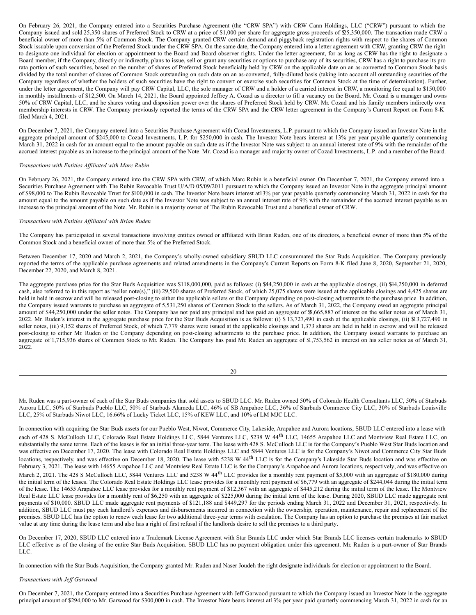On February 26, 2021, the Company entered into a Securities Purchase Agreement (the "CRW SPA") with CRW Cann Holdings, LLC ("CRW") pursuant to which the Company issued and sold 25,350 shares of Preferred Stock to CRW at a price of \$1,000 per share for aggregate gross proceeds of \$25,350,000. The transaction made CRW a beneficial owner of more than 5% of Common Stock. The Company granted CRW certain demand and piggyback registration rights with respect to the shares of Common Stock issuable upon conversion of the Preferred Stock under the CRW SPA. On the same date, the Company entered into a letter agreement with CRW, granting CRW the right to designate one individual for election or appointment to the Board and Board observer rights. Under the letter agreement, for as long as CRW has the right to designate a Board member, if the Company, directly or indirectly, plans to issue, sell or grant any securities or options to purchase any of its securities, CRW has a right to purchase its pro rata portion of such securities, based on the number of shares of Preferred Stock beneficially held by CRW on the applicable date on an as-converted to Common Stock basis divided by the total number of shares of Common Stock outstanding on such date on an as-converted, fully-diluted basis (taking into account all outstanding securities of the Company regardless of whether the holders of such securities have the right to convert or exercise such securities for Common Stock at the time of determination). Further, under the letter agreement, the Company will pay CRW Capital, LLC, the sole manager of CRW and a holder of a carried interest in CRW, a monitoring fee equal to \$150,000 in monthly installments of \$12,500. On March 14, 2021, the Board appointed Jeffrey A. Cozad as a director to fill a vacancy on the Board. Mr. Cozad is a manager and owns 50% of CRW Capital, LLC, and he shares voting and disposition power over the shares of Preferred Stock held by CRW. Mr. Cozad and his family members indirectly own membership interests in CRW. The Company previously reported the terms of the CRW SPA and the CRW letter agreement in the Company's Current Report on Form 8-K filed March 4, 2021.

On December 7, 2021, the Company entered into a Securities Purchase Agreement with Cozad Investments, L.P. pursuant to which the Company issued an Investor Note in the aggregate principal amount of \$245,000 to Cozad Investments, L.P. for \$250,000 in cash. The Investor Note bears interest at 13% per year payable quarterly commencing March 31, 2022 in cash for an amount equal to the amount payable on such date as if the Investor Note was subject to an annual interest rate of 9% with the remainder of the accrued interest payable as an increase to the principal amount of the Note. Mr. Cozad is a manager and majority owner of Cozad Investments, L.P. and a member of the Board.

### *Transactions with Entities Af iliated with Marc Rubin*

On February 26, 2021, the Company entered into the CRW SPA with CRW, of which Marc Rubin is a beneficial owner. On December 7, 2021, the Company entered into a Securities Purchase Agreement with The Rubin Revocable Trust U/A/D 05/09/2011 pursuant to which the Company issued an Investor Note in the aggregate principal amount of \$98,000 to The Rubin Revocable Trust for \$100,000 in cash. The Investor Note bears interest at13% per year payable quarterly commencing March 31, 2022 in cash for the amount equal to the amount payable on such date as if the Investor Note was subject to an annual interest rate of 9% with the remainder of the accrued interest payable as an increase to the principal amount of the Note. Mr. Rubin is a majority owner of The Rubin Revocable Trust and a beneficial owner of CRW.

### *Transactions with Entities Af iliated with Brian Ruden*

The Company has participated in several transactions involving entities owned or affiliated with Brian Ruden, one of its directors, a beneficial owner of more than 5% of the Common Stock and a beneficial owner of more than 5% of the Preferred Stock.

Between December 17, 2020 and March 2, 2021, the Company's wholly-owned subsidiary SBUD LLC consummated the Star Buds Acquisition. The Company previously reported the terms of the applicable purchase agreements and related amendments in the Company's Current Reports on Form 8-K filed June 8, 2020, September 21, 2020, December 22, 2020, and March 8, 2021.

The aggregate purchase price for the Star Buds Acquisition was \$118,000,000, paid as follows: (i) \$44,250,000 in cash at the applicable closings, (ii) \$44,250,000 in deferred cash, also referred to in this report as "seller note(s)," (iii) 29,500 shares of Preferred Stock, of which 25,075 shares were issued at the applicable closings and 4,425 shares are held in held in escrow and will be released post-closing to either the applicable sellers or the Company depending on post-closing adjustments to the purchase price. In addition, the Company issued warrants to purchase an aggregate of 5,531,250 shares of Common Stock to the sellers. As of March 31, 2022, the Company owed an aggregate principal amount of \$44,250,000 under the seller notes. The Company has not paid any principal and has paid an aggregate of \$5,665,887 of interest on the seller notes as of March 31, 2022. Mr. Ruden's interest in the aggregate purchase price for the Star Buds Acquisition is as follows: (i) \$ 13,727,490 in cash at the applicable closings, (ii) \$13,727,490 in seller notes, (iii) 9,152 shares of Preferred Stock, of which 7,779 shares were issued at the applicable closings and 1,373 shares are held in held in escrow and will be released post-closing to either Mr. Ruden or the Company depending on post-closing adjustments to the purchase price. In addition, the Company issued warrants to purchase an aggregate of 1,715,936 shares of Common Stock to Mr. Ruden. The Company has paid Mr. Ruden an aggregate of \$1,753,562 in interest on his seller notes as of March 31, 2022.

| × |         |
|---|---------|
| I | I<br>۰, |

Mr. Ruden was a part-owner of each of the Star Buds companies that sold assets to SBUD LLC. Mr. Ruden owned 50% of Colorado Health Consultants LLC, 50% of Starbuds Aurora LLC, 50% of Starbuds Pueblo LLC, 50% of Starbuds Alameda LLC, 46% of SB Arapahoe LLC, 36% of Starbuds Commerce City LLC, 30% of Starbuds Louisville LLC, 25% of Starbuds Niwot LLC, 16.66% of Lucky Ticket LLC, 15% of KEW LLC, and 10% of LM MJC LLC.

In connection with acquiring the Star Buds assets for our Pueblo West, Niwot, Commerce City, Lakeside, Arapahoe and Aurora locations, SBUD LLC entered into a lease with each of 428 S. McCulloch LLC, Colorado Real Estate Holdings LLC, 5844 Ventures LLC, 5238 W 44<sup>th</sup> LLC, 14655 Arapahoe LLC and Montview Real Estate LLC, on substantially the same terms. Each of the leases is for an initial three-year term. The lease with 428 S. McCulloch LLC is for the Company's Pueblo West Star Buds location and was effective on December 17, 2020. The lease with Colorado Real Estate Holdings LLC and 5844 Ventures LLC is for the Company's Niwot and Commerce City Star Buds locations, respectively, and was effective on December 18, 2020. The lease with 5238 W 44<sup>th</sup> LLC is for the Company's Lakeside Star Buds location and was effective on February 3, 2021. The lease with 14655 Arapahoe LLC and Montview Real Estate LLC is for the Company's Arapahoe and Aurora locations, respectively, and was effective on March 2, 2021. The 428 S McCulloch LLC, 5844 Ventures LLC and 5238 W 44<sup>th</sup> LLC provides for a monthly rent payment of \$5,000 with an aggregate of \$180,000 during the initial term of the leases. The Colorado Real Estate Holdings LLC lease provides for a monthly rent payment of \$6,779 with an aggregate of \$244,044 during the initial term of the lease. The 14655 Arapahoe LLC lease provides for a monthly rent payment of \$12,367 with an aggregate of \$445,212 during the initial term of the lease. The Montview Real Estate LLC lease provides for a monthly rent of \$6,250 with an aggregate of \$225,000 during the initial term of the lease. During 2020, SBUD LLC made aggregate rent payments of \$10,000. SBUD LLC made aggregate rent payments of \$121,188 and \$449,297 for the periods ending March 31, 2022 and December 31, 2021, respectively. In addition, SBUD LLC must pay each landlord's expenses and disbursements incurred in connection with the ownership, operation, maintenance, repair and replacement of the premises. SBUD LLC has the option to renew each lease for two additional three-year terms with escalation. The Company has an option to purchase the premises at fair market value at any time during the lease term and also has a right of first refusal if the landlords desire to sell the premises to a third party.

On December 17, 2020, SBUD LLC entered into a Trademark License Agreement with Star Brands LLC under which Star Brands LLC licenses certain trademarks to SBUD LLC effective as of the closing of the entire Star Buds Acquisition. SBUD LLC has no payment obligation under this agreement. Mr. Ruden is a part-owner of Star Brands LLC.

In connection with the Star Buds Acquisition, the Company granted Mr. Ruden and Naser Joudeh the right designate individuals for election or appointment to the Board.

# *Transactions with Jef Garwood*

On December 7, 2021, the Company entered into a Securities Purchase Agreement with Jeff Garwood pursuant to which the Company issued an Investor Note in the aggregate principal amount of \$294,000 to Mr. Garwood for \$300,000 in cash. The Investor Note bears interest at13% per year paid quarterly commencing March 31, 2022 in cash for an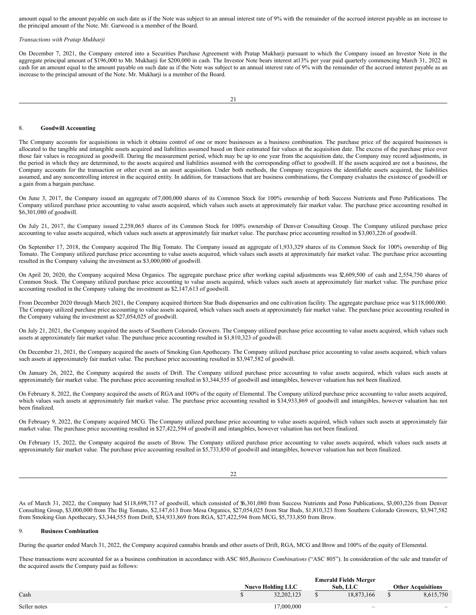amount equal to the amount payable on such date as if the Note was subject to an annual interest rate of 9% with the remainder of the accrued interest payable as an increase to the principal amount of the Note. Mr. Garwood is a member of the Board.

#### *Transactions with Pratap Mukharji*

On December 7, 2021, the Company entered into a Securities Purchase Agreement with Pratap Mukharji pursuant to which the Company issued an Investor Note in the aggregate principal amount of \$196,000 to Mr. Mukharji for \$200,000 in cash. The Investor Note bears interest at13% per year paid quarterly commencing March 31, 2022 in cash for an amount equal to the amount payable on such date as if the Note was subject to an annual interest rate of 9% with the remainder of the accrued interest payable as an increase to the principal amount of the Note. Mr. Mukharji is a member of the Board.

### 8. **Goodwill Accounting**

The Company accounts for acquisitions in which it obtains control of one or more businesses as a business combination. The purchase price of the acquired businesses is allocated to the tangible and intangible assets acquired and liabilities assumed based on their estimated fair values at the acquisition date. The excess of the purchase price over those fair values is recognized as goodwill. During the measurement period, which may be up to one year from the acquisition date, the Company may record adjustments, in the period in which they are determined, to the assets acquired and liabilities assumed with the corresponding offset to goodwill. If the assets acquired are not a business, the Company accounts for the transaction or other event as an asset acquisition. Under both methods, the Company recognizes the identifiable assets acquired, the liabilities assumed, and any noncontrolling interest in the acquired entity. In addition, for transactions that are business combinations, the Company evaluates the existence of goodwill or a gain from a bargain purchase.

On June 3, 2017, the Company issued an aggregate of 7,000,000 shares of its Common Stock for 100% ownership of both Success Nutrients and Pono Publications. The Company utilized purchase price accounting to value assets acquired, which values such assets at approximately fair market value. The purchase price accounting resulted in \$6,301,080 of goodwill.

On July 21, 2017, the Company issued 2,258,065 shares of its Common Stock for 100% ownership of Denver Consulting Group. The Company utilized purchase price accounting to value assets acquired, which values such assets at approximately fair market value. The purchase price accounting resulted in \$3,003,226 of goodwill.

On September 17, 2018, the Company acquired The Big Tomato. The Company issued an aggregate of 1,933,329 shares of its Common Stock for 100% ownership of Big Tomato. The Company utilized purchase price accounting to value assets acquired, which values such assets at approximately fair market value. The purchase price accounting resulted in the Company valuing the investment as \$3,000,000 of goodwill.

On April 20, 2020, the Company acquired Mesa Organics. The aggregate purchase price after working capital adjustments was \$2,609,500 of cash and 2,554,750 shares of Common Stock. The Company utilized purchase price accounting to value assets acquired, which values such assets at approximately fair market value. The purchase price accounting resulted in the Company valuing the investment as \$2,147,613 of goodwill.

From December 2020 through March 2021, the Company acquired thirteen Star Buds dispensaries and one cultivation facility. The aggregate purchase price was \$118,000,000. The Company utilized purchase price accounting to value assets acquired, which values such assets at approximately fair market value. The purchase price accounting resulted in the Company valuing the investment as \$27,054,025 of goodwill.

On July 21, 2021, the Company acquired the assets of Southern Colorado Growers. The Company utilized purchase price accounting to value assets acquired, which values such assets at approximately fair market value. The purchase price accounting resulted in \$1,810,323 of goodwill.

On December 21, 2021, the Company acquired the assets of Smoking Gun Apothecary. The Company utilized purchase price accounting to value assets acquired, which values such assets at approximately fair market value. The purchase price accounting resulted in \$3,947,582 of goodwill.

On January 26, 2022, the Company acquired the assets of Drift. The Company utilized purchase price accounting to value assets acquired, which values such assets at approximately fair market value. The purchase price accounting resulted in \$3,344,555 of goodwill and intangibles, however valuation has not been finalized.

On February 8, 2022, the Company acquired the assets of RGA and 100% of the equity of Elemental. The Company utilized purchase price accounting to value assets acquired, which values such assets at approximately fair market value. The purchase price accounting resulted in \$34,933,869 of goodwill and intangibles, however valuation has not been finalized.

On February 9, 2022, the Company acquired MCG. The Company utilized purchase price accounting to value assets acquired, which values such assets at approximately fair market value. The purchase price accounting resulted in \$27,422,594 of goodwill and intangibles, however valuation has not been finalized.

On February 15, 2022, the Company acquired the assets of Brow. The Company utilized purchase price accounting to value assets acquired, which values such assets at approximately fair market value. The purchase price accounting resulted in \$5,733,850 of goodwill and intangibles, however valuation has not been finalized.

 $22$ 

As of March 31, 2022, the Company had \$118,698,717 of goodwill, which consisted of \$6,301,080 from Success Nutrients and Pono Publications, \$3,003,226 from Denver Consulting Group, \$3,000,000 from The Big Tomato, \$2,147,613 from Mesa Organics, \$27,054,025 from Star Buds, \$1,810,323 from Southern Colorado Growers, \$3,947,582 from Smoking Gun Apothecary, \$3,344,555 from Drift, \$34,933,869 from RGA, \$27,422,594 from MCG, \$5,733,850 from Brow.

### 9. **Business Combination**

During the quarter ended March 31, 2022, the Company acquired cannabis brands and other assets of Drift, RGA, MCG and Brow and 100% of the equity of Elemental.

These transactions were accounted for as a business combination in accordance with ASC 805,*Business Combinations* ("ASC 805"). In consideration of the sale and transfer of the acquired assets the Company paid as follows:

|              | <b>Emerald Fields Merger</b> |              |  |                          |                           |                          |  |  |
|--------------|------------------------------|--------------|--|--------------------------|---------------------------|--------------------------|--|--|
|              | <b>Nuevo Holding LLC</b>     |              |  |                          | <b>Other Acquisitions</b> |                          |  |  |
| Cash         |                              | 32, 202, 123 |  | 18,873,166               |                           | 8,615,750                |  |  |
| Seller notes |                              | 17,000,000   |  | $\overline{\phantom{a}}$ |                           | $\overline{\phantom{a}}$ |  |  |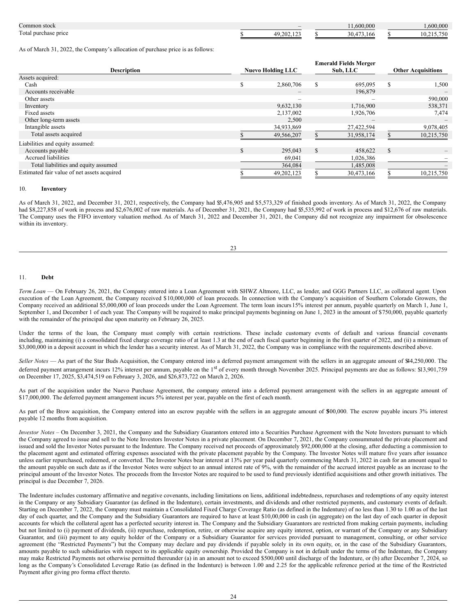| Common stock         | $\sim$                | 600,000                                          | 600,000           |
|----------------------|-----------------------|--------------------------------------------------|-------------------|
| Total purchase price | $\sim$<br>202.<br>49. | $\overline{\phantom{a}}$<br>30.<br>3.100<br>$ -$ | $   \circ$<br>0.2 |

As of March 31, 2022, the Company's allocation of purchase price is as follows:

|                                             |               |                          |    | <b>Emerald Fields Merger</b>                                              |                           |            |
|---------------------------------------------|---------------|--------------------------|----|---------------------------------------------------------------------------|---------------------------|------------|
| <b>Description</b>                          |               | <b>Nuevo Holding LLC</b> |    | Sub, LLC                                                                  | <b>Other Acquisitions</b> |            |
| Assets acquired:                            |               |                          |    |                                                                           |                           |            |
| Cash                                        | \$.           | 2,860,706                | S  | 695,095                                                                   | S                         | 1,500      |
| Accounts receivable                         |               |                          |    | 196,879                                                                   |                           |            |
| Other assets                                |               | $\sim$                   |    | $\hspace{1.0cm} \rule{1.5cm}{0.15cm} \hspace{1.0cm} \rule{1.5cm}{0.15cm}$ |                           | 590,000    |
| Inventory                                   |               | 9,632,130                |    | 1,716,900                                                                 |                           | 538,371    |
| Fixed assets                                |               | 2,137,002                |    | 1,926,706                                                                 |                           | 7,474      |
| Other long-term assets                      |               | 2,500                    |    | $\hspace{0.1mm}-\hspace{0.1mm}$                                           |                           |            |
| Intangible assets                           |               | 34,933,869               |    | 27,422,594                                                                |                           | 9,078,405  |
| Total assets acquired                       |               | 49,566,207               |    | 31,958,174                                                                |                           | 10,215,750 |
| Liabilities and equity assumed:             |               |                          |    |                                                                           |                           |            |
| Accounts payable                            | $\mathcal{S}$ | 295,043                  | \$ | 458,622                                                                   | \$                        |            |
| Accrued liabilities                         |               | 69,041                   |    | 1,026,386                                                                 |                           |            |
| Total liabilities and equity assumed        |               | 364,084                  |    | 1,485,008                                                                 |                           |            |
| Estimated fair value of net assets acquired |               | 49,202,123               |    | 30,473,166                                                                |                           | 10,215,750 |

# 10. **Inventory**

As of March 31, 2022, and December 31, 2021, respectively, the Company had \$5,476,905 and \$5,573,329 of finished goods inventory. As of March 31, 2022, the Company had \$8,227,858 of work in process and \$2,676,002 of raw materials. As of December 31, 2021, the Company had \$5,535,992 of work in process and \$12,676 of raw materials. The Company uses the FIFO inventory valuation method. As of March 31, 2022 and December 31, 2021, the Company did not recognize any impairment for obsolescence within its inventory.

23

# 11. **Debt**

*Term Loan* — On February 26, 2021, the Company entered into a Loan Agreement with SHWZ Altmore, LLC, as lender, and GGG Partners LLC, as collateral agent. Upon execution of the Loan Agreement, the Company received \$10,000,000 of loan proceeds. In connection with the Company's acquisition of Southern Colorado Growers, the Company received an additional \$5,000,000 of loan proceeds under the Loan Agreement. The term loan incurs 15% interest per annum, payable quarterly on March 1, June 1, September 1, and December 1 of each year. The Company will be required to make principal payments beginning on June 1, 2023 in the amount of \$750,000, payable quarterly with the remainder of the principal due upon maturity on February 26, 2025.

Under the terms of the loan, the Company must comply with certain restrictions. These include customary events of default and various financial covenants including, maintaining (i) a consolidated fixed charge coverage ratio of at least 1.3 at the end of each fiscal quarter beginning in the first quarter of 2022, and (ii) a minimum of \$3,000,000 in a deposit account in which the lender has a security interest. As of March 31, 2022, the Company was in compliance with the requirements described above.

*Seller Notes* — As part of the Star Buds Acquisition, the Company entered into a deferred payment arrangement with the sellers in an aggregate amount of \$44,250,000. The deferred payment arrangement incurs 12% interest per annum, payable on the 1<sup>st</sup> of every month through November 2025. Principal payments are due as follows: \$13,901,759 on December 17, 2025, \$3,474,519 on February 3, 2026, and \$26,873,722 on March 2, 2026.

As part of the acquisition under the Nuevo Purchase Agreement, the company entered into a deferred payment arrangement with the sellers in an aggregate amount of \$17,000,000. The deferred payment arrangement incurs 5% interest per year, payable on the first of each month.

As part of the Brow acquisition, the Company entered into an escrow payable with the sellers in an aggregate amount of \$00,000. The escrow payable incurs 3% interest payable 12 months from acquisition.

*Investor Notes* – On December 3, 2021, the Company and the Subsidiary Guarantors entered into a Securities Purchase Agreement with the Note Investors pursuant to which the Company agreed to issue and sell to the Note Investors Investor Notes in a private placement. On December 7, 2021, the Company consummated the private placement and issued and sold the Investor Notes pursuant to the Indenture. The Company received net proceeds of approximately \$92,000,000 at the closing, after deducting a commission to the placement agent and estimated offering expenses associated with the private placement payable by the Company. The Investor Notes will mature five years after issuance unless earlier repurchased, redeemed, or converted. The Investor Notes bear interest at 13% per year paid quarterly commencing March 31, 2022 in cash for an amount equal to the amount payable on such date as if the Investor Notes were subject to an annual interest rate of 9%, with the remainder of the accrued interest payable as an increase to the principal amount of the Investor Notes. The proceeds from the Investor Notes are required to be used to fund previously identified acquisitions and other growth initiatives. The principal is due December 7, 2026.

The Indenture includes customary affirmative and negative covenants, including limitations on liens, additional indebtedness, repurchases and redemptions of any equity interest in the Company or any Subsidiary Guarantor (as defined in the Indenture), certain investments, and dividends and other restricted payments, and customary events of default. Starting on December 7, 2022, the Company must maintain a Consolidated Fixed Charge Coverage Ratio (as defined in the Indenture) of no less than 1.30 to 1.00 as of the last day of each quarter, and the Company and the Subsidiary Guarantors are required to have at least \$10,00,000 in cash (in aggregate) on the last day of each quarter in deposit accounts for which the collateral agent has a perfected security interest in. The Company and the Subsidiary Guarantors are restricted from making certain payments, including but not limited to (i) payment of dividends, (ii) repurchase, redemption, retire, or otherwise acquire any equity interest, option, or warrant of the Company or any Subsidiary Guarantor, and (iii) payment to any equity holder of the Company or a Subsidiary Guarantor for services provided pursuant to management, consulting, or other service agreement (the "Restricted Payments") but the Company may declare and pay dividends if payable solely in its own equity, or, in the case of the Subsidiary Guarantors, amounts payable to such subsidiaries with respect to its applicable equity ownership. Provided the Company is not in default under the terms of the Indenture, the Company may make Restricted Payments not otherwise permitted thereunder (a) in an amount not to exceed \$500,000 until discharge of the Indenture, or (b) after December 7, 2024, so long as the Company's Consolidated Leverage Ratio (as defined in the Indenture) is between 1.00 and 2.25 for the applicable reference period at the time of the Restricted Payment after giving pro forma effect thereto.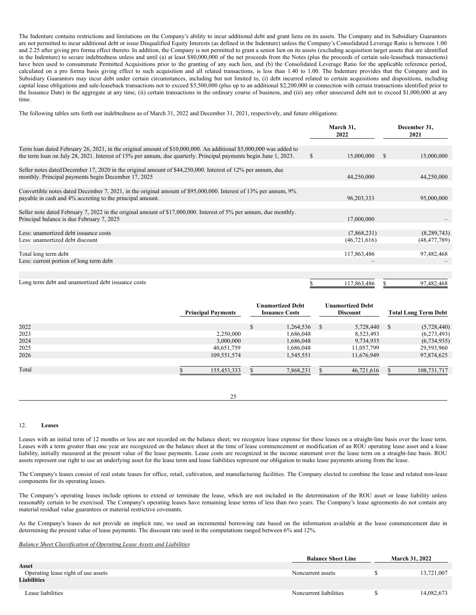The Indenture contains restrictions and limitations on the Company's ability to incur additional debt and grant liens on its assets. The Company and its Subsidiary Guarantors are not permitted to incur additional debt or issue Disqualified Equity Interests (as defined in the Indenture) unless the Company's Consolidated Leverage Ratio is between 1.00 and 2.25 after giving pro forma effect thereto. In addition, the Company is not permitted to grant a senior lien on its assets (excluding acquisition target assets that are identified in the Indenture) to secure indebtedness unless and until (a) at least \$80,000,000 of the net proceeds from the Notes (plus the proceeds of certain sale-leaseback transactions) have been used to consummate Permitted Acquisitions prior to the granting of any such lien, and (b) the Consolidated Leverage Ratio for the applicable reference period, calculated on a pro forma basis giving effect to such acquisition and all related transactions, is less than 1.40 to 1.00. The Indenture provides that the Company and its Subsidiary Guarantors may incur debt under certain circumstances, including but not limited to, (i) debt incurred related to certain acquisitions and dispositions, including capital lease obligations and sale-leaseback transactions not to exceed \$5,500,000 (plus up to an additional \$2,200,000 in connection with certain transactions identified prior to the Issuance Date) in the aggregate at any time, (ii) certain transactions in the ordinary course of business, and (iii) any other unsecured debt not to exceed \$1,000,000 at any time.

The following tables sets forth our indebtedness as of March 31, 2022 and December 31, 2021, respectively, and future obligations:

|                                                                                                                                                                                                                                       |          | March 31,<br>2022             |               | December 31,<br>2021            |
|---------------------------------------------------------------------------------------------------------------------------------------------------------------------------------------------------------------------------------------|----------|-------------------------------|---------------|---------------------------------|
| Term loan dated February 26, 2021, in the original amount of \$10,000,000. An additional \$5,000,000 was added to<br>the term loan on July 28, 2021. Interest of 15% per annum, due quarterly. Principal payments begin June 1, 2023. | <b>S</b> | 15,000,000                    | <sup>\$</sup> | 15,000,000                      |
| Seller notes dated December 17, 2020 in the original amount of \$44,250,000. Interest of 12% per annum, due<br>monthly. Principal payments begin December 17, 2025                                                                    |          | 44,250,000                    |               | 44,250,000                      |
| Convertible notes dated December 7, 2021, in the original amount of \$95,000,000. Interest of 13% per annum, 9%<br>payable in cash and 4% accreting to the principal amount.                                                          |          | 96,203,333                    |               | 95,000,000                      |
| Seller note dated February 7, 2022 in the original amount of \$17,000,000. Interest of 5% per annum, due monthly.<br>Principal balance is due February 7, 2025                                                                        |          | 17,000,000                    |               |                                 |
| Less: unamortized debt issuance costs<br>Less: unamortized debt discount                                                                                                                                                              |          | (7,868,231)<br>(46, 721, 616) |               | (8, 289, 743)<br>(48, 477, 789) |
| Total long term debt<br>Less: current portion of long term debt                                                                                                                                                                       |          | 117,863,486                   |               | 97,482,468                      |
| Long term debt and unamortized debt issuance costs                                                                                                                                                                                    | S        | 117,863,486                   | S             | 97,482,468                      |

|       | <b>Principal Payments</b> |    | <b>Unamortized Debt</b><br><b>Issuance Costs</b> |   | <b>Unamortized Debt</b><br><b>Discount</b> |   | <b>Total Long Term Debt</b> |
|-------|---------------------------|----|--------------------------------------------------|---|--------------------------------------------|---|-----------------------------|
| 2022  |                           | \$ | 1,264,536                                        | S | 5,728,440                                  | S | (5,728,440)                 |
| 2023  | 2,250,000                 |    | 1,686,048                                        |   | 8,523,493                                  |   | (6,273,493)                 |
| 2024  | 3,000,000                 |    | 1,686,048                                        |   | 9,734,935                                  |   | (6,734,935)                 |
| 2025  | 40,651,759                |    | 1,686,048                                        |   | 11,057,799                                 |   | 29,593,960                  |
| 2026  | 109,551,574               |    | 1,545,551                                        |   | 11,676,949                                 |   | 97,874,625                  |
| Total | 155,453,333               |    | 7,868,231                                        |   | 46,721,616                                 |   | 108,731,717                 |
|       |                           |    |                                                  |   |                                            |   |                             |

#### 12. **Leases**

Leases with an initial term of 12 months or less are not recorded on the balance sheet; we recognize lease expense for these leases on a straight-line basis over the lease term. Leases with a term greater than one year are recognized on the balance sheet at the time of lease commencement or modification of an ROU operating lease asset and a lease liability, initially measured at the present value of the lease payments. Lease costs are recognized in the income statement over the lease term on a straight-line basis. ROU assets represent our right to use an underlying asset for the lease term and lease liabilities represent our obligation to make lease payments arising from the lease.

The Company's leases consist of real estate leases for office, retail, cultivation, and manufacturing facilities. The Company elected to combine the lease and related non-lease components for its operating leases.

The Company's operating leases include options to extend or terminate the lease, which are not included in the determination of the ROU asset or lease liability unless reasonably certain to be exercised. The Company's operating leases have remaining lease terms of less than two years. The Company's lease agreements do not contain any material residual value guarantees or material restrictive covenants.

As the Company's leases do not provide an implicit rate, we used an incremental borrowing rate based on the information available at the lease commencement date in determining the present value of lease payments. The discount rate used in the computations ranged between 6% and 12%.

#### *Balance Sheet Classification of Operating Lease Assets and Liabilities*

|                                     | <b>Balance Sheet Line</b> | <b>March 31, 2022</b> |  |  |
|-------------------------------------|---------------------------|-----------------------|--|--|
| Asset                               |                           |                       |  |  |
| Operating lease right of use assets | Noncurrent assets         | 13,721,007            |  |  |
| <b>Liabilities</b>                  |                           |                       |  |  |
| Lease liabilities                   | Noncurrent liabilities    | 14.082.673            |  |  |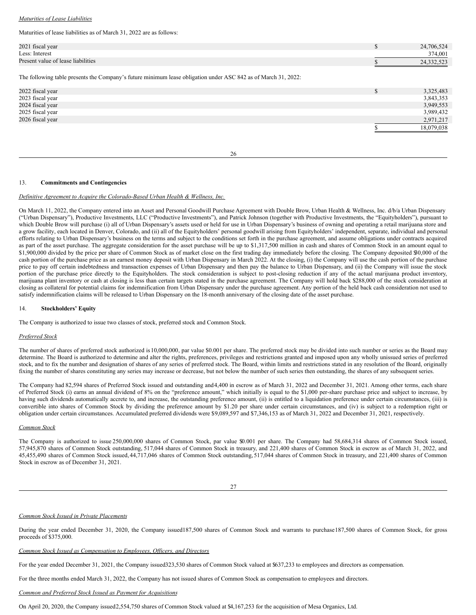#### *Maturities of Lease Liabilities*

Maturities of lease liabilities as of March 31, 2022 are as follows:

| 2021 fiscal year                                                                                               | <sup>\$</sup> | 24,706,524 |
|----------------------------------------------------------------------------------------------------------------|---------------|------------|
| Less: Interest                                                                                                 |               | 374,001    |
| Present value of lease liabilities                                                                             |               | 24,332,523 |
| The following table presents the Company's future minimum lease obligation under ASC 842 as of March 31, 2022: |               |            |
| 2022 fiscal year                                                                                               | S.            | 3,325,483  |
| 2023 fiscal year                                                                                               |               | 3,843,353  |
| 2024 fiscal year                                                                                               |               | 3,949,553  |
| 2025 fiscal year                                                                                               |               | 3,989,432  |
| 2026 fiscal year                                                                                               |               | 2,971,217  |
|                                                                                                                |               | 18,079,038 |
|                                                                                                                |               |            |
|                                                                                                                |               |            |

26

# 13. **Commitments and Contingencies**

# *Definitive Agreement to Acquire the Colorado-Based Urban Health & Wellness, Inc.*

On March 11, 2022, the Company entered into an Asset and Personal Goodwill Purchase Agreement with Double Brow, Urban Health & Wellness, Inc. d/b/a Urban Dispensary ("Urban Dispensary"), Productive Investments, LLC ("Productive Investments"), and Patrick Johnson (together with Productive Investments, the "Equityholders"), pursuant to which Double Brow will purchase (i) all of Urban Dispensary's assets used or held for use in Urban Dispensary's business of owning and operating a retail marijuana store and a grow facility, each located in Denver, Colorado, and (ii) all of the Equityholders' personal goodwill arising from Equityholders' independent, separate, individual and personal efforts relating to Urban Dispensary's business on the terms and subject to the conditions set forth in the purchase agreement, and assume obligations under contracts acquired as part of the asset purchase. The aggregate consideration for the asset purchase will be up to \$1,317,500 million in cash and shares of Common Stock in an amount equal to \$1,900,000 divided by the price per share of Common Stock as of market close on the first trading day immediately before the closing. The Company deposited \$0,000 of the cash portion of the purchase price as an earnest money deposit with Urban Dispensary in March 2022. At the closing, (i) the Company will use the cash portion of the purchase price to pay off certain indebtedness and transaction expenses of Urban Dispensary and then pay the balance to Urban Dispensary, and (ii) the Company will issue the stock portion of the purchase price directly to the Equityholders. The stock consideration is subject to post-closing reduction if any of the actual marijuana product inventory, marijuana plant inventory or cash at closing is less than certain targets stated in the purchase agreement. The Company will hold back \$288,000 of the stock consideration at closing as collateral for potential claims for indemnification from Urban Dispensary under the purchase agreement. Any portion of the held back cash consideration not used to satisfy indemnification claims will be released to Urban Dispensary on the 18-month anniversary of the closing date of the asset purchase.

#### 14. **Stockholders' Equity**

The Company is authorized to issue two classes of stock, preferred stock and Common Stock.

### *Preferred Stock*

The number of shares of preferred stock authorized is10,000,000, par value \$0.001 per share. The preferred stock may be divided into such number or series as the Board may determine. The Board is authorized to determine and alter the rights, preferences, privileges and restrictions granted and imposed upon any wholly unissued series of preferred stock, and to fix the number and designation of shares of any series of preferred stock. The Board, within limits and restrictions stated in any resolution of the Board, originally fixing the number of shares constituting any series may increase or decrease, but not below the number of such series then outstanding, the shares of any subsequent series.

The Company had 82,594 shares of Preferred Stock issued and outstanding and4,400 in escrow as of March 31, 2022 and December 31, 2021. Among other terms, each share of Preferred Stock (i) earns an annual dividend of 8% on the "preference amount," which initially is equal to the \$1,000 per-share purchase price and subject to increase, by having such dividends automatically accrete to, and increase, the outstanding preference amount, (ii) is entitled to a liquidation preference under certain circumstances, (iii) is convertible into shares of Common Stock by dividing the preference amount by \$1.20 per share under certain circumstances, and (iv) is subject to a redemption right or obligation under certain circumstances. Accumulated preferred dividends were \$9,089,597 and \$7,346,153 as of March 31, 2022 and December 31, 2021, respectively.

#### *Common Stock*

The Company is authorized to issue 250,000,000 shares of Common Stock, par value \$0.001 per share. The Company had 58,684,314 shares of Common Stock issued, 57,945,870 shares of Common Stock outstanding, 517,044 shares of Common Stock in treasury, and 221,400 shares of Common Stock in escrow as of March 31, 2022, and 45,455,490 shares of Common Stock issued, 44,717,046 shares of Common Stock outstanding, 517,044 shares of Common Stock in treasury, and 221,400 shares of Common Stock in escrow as of December 31, 2021.

27

### *Common Stock Issued in Private Placements*

During the year ended December 31, 2020, the Company issued187,500 shares of Common Stock and warrants to purchase187,500 shares of Common Stock, for gross proceeds of \$375,000.

*Common Stock Issued as Compensation to Employees, Of icers, and Directors*

For the year ended December 31, 2021, the Company issued323,530 shares of Common Stock valued at \$637,233 to employees and directors as compensation.

For the three months ended March 31, 2022, the Company has not issued shares of Common Stock as compensation to employees and directors.

# *Common and Preferred Stock Issued as Payment for Acquisitions*

On April 20, 2020, the Company issued2,554,750 shares of Common Stock valued at \$4,167,253 for the acquisition of Mesa Organics, Ltd.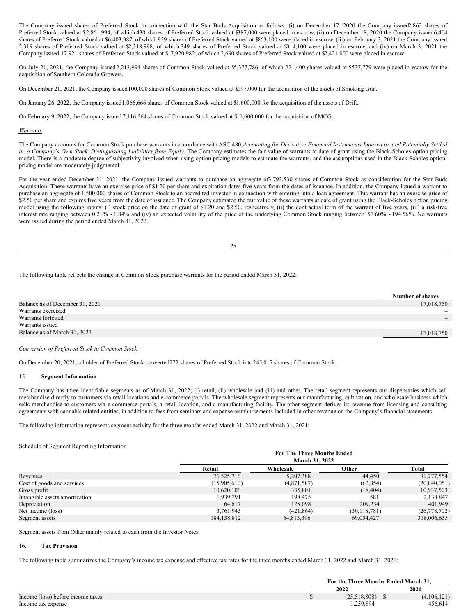The Company issued shares of Preferred Stock in connection with the Star Buds Acquisition as follows: (i) on December 17, 2020 the Company issued2,862 shares of Preferred Stock valued at \$2,861,994, of which 430 shares of Preferred Stock valued at \$387,000 were placed in escrow, (ii) on December 18, 2020 the Company issued6,404 shares of Preferred Stock valued at \$6,403,987, of which 959 shares of Preferred Stock valued at \$863,100 were placed in escrow, (iii) on February 3, 2021 the Company issued 2,319 shares of Preferred Stock valued at \$2,318,998, of which 349 shares of Preferred Stock valued at \$314,100 were placed in escrow, and (iv) on March 3, 2021 the Company issued 17,921 shares of Preferred Stock valued at \$17,920,982, of which 2,690 shares of Preferred Stock valued at \$2,421,000 were placed in escrow.

On July 21, 2021, the Company issued 2,213,994 shares of Common Stock valued at \$5,377,786, of which 221,400 shares valued at \$537,779 were placed in escrow for the acquisition of Southern Colorado Growers.

On December 21, 2021, the Company issued100,000 shares of Common Stock valued at \$197,000 for the acquisition of the assets of Smoking Gun.

On January 26, 2022, the Company issued1,066,666 shares of Common Stock valued at \$1,600,000 for the acquisition of the assets of Drift.

On February 9, 2022, the Company issued 7,116,564 shares of Common Stock valued at \$11,600,000 for the acquisition of MCG.

### *Warrants*

The Company accounts for Common Stock purchase warrants in accordance with ASC 480, Accounting for Derivative Financial Instruments Indexed to, and Potentially Settled in, a Company's Own Stock, Distinguishing Liabilities from Equity. The Company estimates the fair value of warrants at date of grant using the Black-Scholes option pricing model. There is a moderate degree of subjectivity involved when using option pricing models to estimate the warrants, and the assumptions used in the Black Scholes optionpricing model are moderately judgmental.

For the year ended December 31, 2021, the Company issued warrants to purchase an aggregate of3,793,530 shares of Common Stock as consideration for the Star Buds Acquisition. These warrants have an exercise price of \$1.20 per share and expiration dates five years from the dates of issuance. In addition, the Company issued a warrant to purchase an aggregate of 1,500,000 shares of Common Stock to an accredited investor in connection with entering into a loan agreement. This warrant has an exercise price of \$2.50 per share and expires five years from the date of issuance. The Company estimated the fair value of these warrants at date of grant using the Black-Scholes option pricing model using the following inputs: (i) stock price on the date of grant of \$1.20 and \$2.50, respectively, (ii) the contractual term of the warrant of five years, (iii) a risk-free interest rate ranging between 0.21% - 1.84% and (iv) an expected volatility of the price of the underlying Common Stock ranging between157.60% - 194.56%. No warrants were issued during the period ended March 31, 2022.

The following table reflects the change in Common Stock purchase warrants for the period ended March 31, 2022:

|                                 | Number of shares         |
|---------------------------------|--------------------------|
| Balance as of December 31, 2021 | 17,018,750               |
| Warrants exercised              | $\overline{\phantom{a}}$ |
| Warrants forfeited              |                          |
| Warrants issued                 |                          |
| Balance as of March 31, 2022    | 17,018,750               |
|                                 |                          |

# *Conversion of Preferred Stock to Common Stock*

On December 20, 2021, a holder of Preferred Stock converted272 shares of Preferred Stock into245,017 shares of Common Stock.

### 15. **Segment Information**

The Company has three identifiable segments as of March 31, 2022; (i) retail, (ii) wholesale and (iii) and other. The retail segment represents our dispensaries which sell merchandise directly to customers via retail locations and e-commerce portals. The wholesale segment represents our manufacturing, cultivation, and wholesale business which sells merchandise to customers via e-commerce portals, a retail location, and a manufacturing facility. The other segment derives its revenue from licensing and consulting agreements with cannabis related entities, in addition to fees from seminars and expense reimbursements included in other revenue on the Company's financial statements.

The following information represents segment activity for the three months ended March 31, 2022 and March 31, 2021:

#### Schedule of Segment Reporting Information

| <b>For The Three Months Ended</b> |               |                       |                |                |  |  |  |  |
|-----------------------------------|---------------|-----------------------|----------------|----------------|--|--|--|--|
|                                   |               | <b>March 31, 2022</b> |                |                |  |  |  |  |
|                                   | Retail        | Wholesale             | Other          | Total          |  |  |  |  |
| Revenues                          | 26,525,716    | 5,207,388             | 44,450         | 31,777,554     |  |  |  |  |
| Cost of goods and services        | (15,905,610)  | (4,871,587)           | (62, 854)      | (20, 840, 051) |  |  |  |  |
| Gross profit                      | 10,620,106    | 335,801               | (18, 404)      | 10,937,503     |  |  |  |  |
| Intangible assets amortization    | 1,939,791     | 198,475               | 581            | 2,138,847      |  |  |  |  |
| Depreciation                      | 64.617        | 128,098               | 209,234        | 401,949        |  |  |  |  |
| Net income (loss)                 | 3.761.943     | (421, 864)            | (30, 118, 781) | (26, 778, 702) |  |  |  |  |
| Segment assets                    | 184, 138, 812 | 64,813,396            | 69,054,427     | 318,006,635    |  |  |  |  |

Segment assets from Other mainly related to cash from the Investor Notes.

# 16. **Tax Provision**

The following table summarizes the Company's income tax expense and effective tax rates for the three months ended March 31, 2022 and March 31, 2021:

|                                   | For the Three Months Ended March 31. |             |
|-----------------------------------|--------------------------------------|-------------|
|                                   | 2022                                 | 2021        |
| Income (loss) before income taxes | (25.518.808)                         | (4,106,121) |
| Income tax expense                | 1,259,894                            | 456,614     |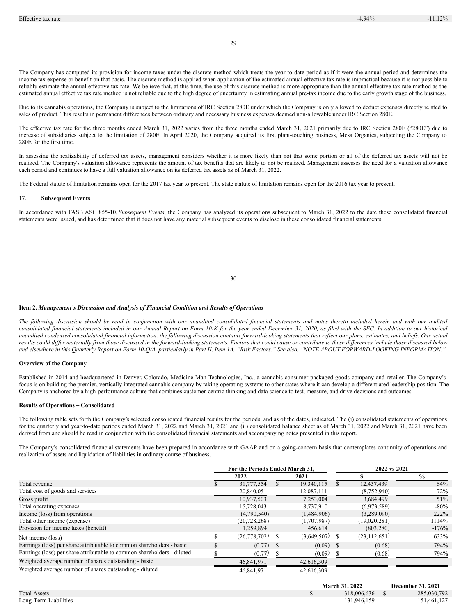29

The Company has computed its provision for income taxes under the discrete method which treats the year-to-date period as if it were the annual period and determines the income tax expense or benefit on that basis. The discrete method is applied when application of the estimated annual effective tax rate is impractical because it is not possible to reliably estimate the annual effective tax rate. We believe that, at this time, the use of this discrete method is more appropriate than the annual effective tax rate method as the estimated annual effective tax rate method is not reliable due to the high degree of uncertainty in estimating annual pre-tax income due to the early growth stage of the business.

Due to its cannabis operations, the Company is subject to the limitations of IRC Section 280E under which the Company is only allowed to deduct expenses directly related to sales of product. This results in permanent differences between ordinary and necessary business expenses deemed non-allowable under IRC Section 280E.

The effective tax rate for the three months ended March 31, 2022 varies from the three months ended March 31, 2021 primarily due to IRC Section 280E ("280E") due to increase of subsidiaries subject to the limitation of 280E. In April 2020, the Company acquired its first plant-touching business, Mesa Organics, subjecting the Company to 280E for the first time.

In assessing the realizability of deferred tax assets, management considers whether it is more likely than not that some portion or all of the deferred tax assets will not be realized. The Company's valuation allowance represents the amount of tax benefits that are likely to not be realized. Management assesses the need for a valuation allowance each period and continues to have a full valuation allowance on its deferred tax assets as of March 31, 2022.

The Federal statute of limitation remains open for the 2017 tax year to present. The state statute of limitation remains open for the 2016 tax year to present.

### 17. **Subsequent Events**

In accordance with FASB ASC 855-10, *Subsequent Events*, the Company has analyzed its operations subsequent to March 31, 2022 to the date these consolidated financial statements were issued, and has determined that it does not have any material subsequent events to disclose in these consolidated financial statements.

30

#### **Item 2.** *Management's Discussion and Analysis of Financial Condition and Results of Operations*

The following discussion should be read in conjunction with our unaudited consolidated financial statements and notes thereto included herein and with our audited consolidated financial statements included in our Annual Report on Form 10-K for the year ended December 31, 2020, as filed with the SEC. In addition to our historical unaudited condensed consolidated financial information, the following discussion contains forward-looking statements that reflect our plans, estimates, and beliefs. Our actual results could differ materially from those discussed in the forward-looking statements. Factors that could cause or contribute to these differences include those discussed below and elsewhere in this Quarterly Report on Form 10-Q/A, particularly in Part II, Item 1A, "Risk Factors." See also, "NOTE ABOUT FORWARD-LOOKING INFORMATION."

### **Overview of the Company**

Established in 2014 and headquartered in Denver, Colorado, Medicine Man Technologies, Inc., a cannabis consumer packaged goods company and retailer. The Company's focus is on building the premier, vertically integrated cannabis company by taking operating systems to other states where it can develop a differentiated leadership position. The Company is anchored by a high-performance culture that combines customer-centric thinking and data science to test, measure, and drive decisions and outcomes.

### **Results of Operations – Consolidated**

The following table sets forth the Company's selected consolidated financial results for the periods, and as of the dates, indicated. The (i) consolidated statements of operations for the quarterly and year-to-date periods ended March 31, 2022 and March 31, 2021 and (ii) consolidated balance sheet as of March 31, 2022 and March 31, 2021 have been derived from and should be read in conjunction with the consolidated financial statements and accompanying notes presented in this report.

The Company's consolidated financial statements have been prepared in accordance with GAAP and on a going-concern basis that contemplates continuity of operations and realization of assets and liquidation of liabilities in ordinary course of business.

|                                                                         | For the Periods Ended March 31. |                |  |             |  | 2022 vs 2021   |               |  |  |  |
|-------------------------------------------------------------------------|---------------------------------|----------------|--|-------------|--|----------------|---------------|--|--|--|
|                                                                         |                                 | 2022           |  | 2021        |  |                | $\frac{0}{0}$ |  |  |  |
| Total revenue                                                           |                                 | 31,777,554     |  | 19.340.115  |  | 12,437,439     | 64%           |  |  |  |
| Total cost of goods and services                                        |                                 | 20,840,051     |  | 12,087,111  |  | (8,752,940)    | $-72%$        |  |  |  |
| Gross profit                                                            |                                 | 10,937,503     |  | 7,253,004   |  | 3,684,499      | 51%           |  |  |  |
| Total operating expenses                                                |                                 | 15,728,043     |  | 8,737,910   |  | (6,973,589)    | $-80\%$       |  |  |  |
| Income (loss) from operations                                           |                                 | (4,790,540)    |  | (1,484,906) |  | (3,289,090)    | 222%          |  |  |  |
| Total other income (expense)                                            |                                 | (20, 728, 268) |  | (1,707,987) |  | (19,020,281)   | 1114%         |  |  |  |
| Provision for income taxes (benefit)                                    |                                 | 1,259,894      |  | 456,614     |  | (803, 280)     | $-176%$       |  |  |  |
| Net income (loss)                                                       |                                 | (26, 778, 702) |  | (3,649,507) |  | (23, 112, 651) | 633%          |  |  |  |
| Earnings (loss) per share attributable to common shareholders - basic   |                                 | (0.77)         |  | (0.09)      |  | (0.68)         | 794%          |  |  |  |
| Earnings (loss) per share attributable to common shareholders - diluted |                                 | (0.77)         |  | (0.09)      |  | (0.68)         | 794%          |  |  |  |
| Weighted average number of shares outstanding - basic                   |                                 | 46,841,971     |  | 42,616,309  |  |                |               |  |  |  |
| Weighted average number of shares outstanding - diluted                 |                                 | 46,841,971     |  | 42,616,309  |  |                |               |  |  |  |

|                       | March 31, 2022 | <b>December 31, 2021</b> |
|-----------------------|----------------|--------------------------|
| <b>Total Assets</b>   | 318,006,636    | 285,030,792              |
| Long-Term Liabilities | 131,946,159    | 151,461,127              |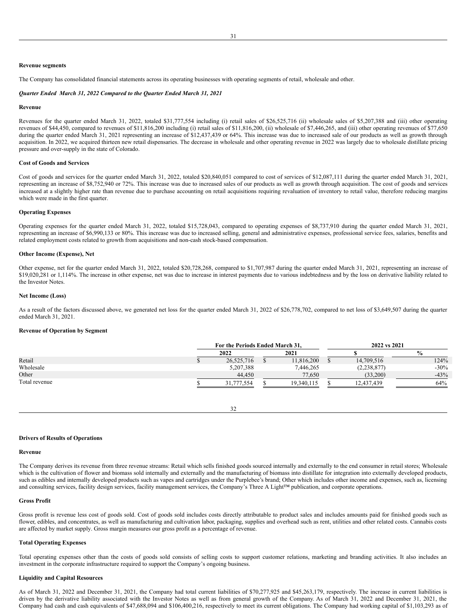### **Revenue segments**

The Company has consolidated financial statements across its operating businesses with operating segments of retail, wholesale and other.

#### *Quarter Ended March 31, 2022 Compared to the Quarter Ended March 31, 2021*

#### **Revenue**

Revenues for the quarter ended March 31, 2022, totaled \$31,777,554 including (i) retail sales of \$26,525,716 (ii) wholesale sales of \$5,207,388 and (iii) other operating revenues of \$44,450, compared to revenues of \$11,816,200 including (i) retail sales of \$11,816,200, (ii) wholesale of \$7,446,265, and (iii) other operating revenues of \$77,650 during the quarter ended March 31, 2021 representing an increase of \$12,437,439 or 64%. This increase was due to increased sale of our products as well as growth through acquisition. In 2022, we acquired thirteen new retail dispensaries. The decrease in wholesale and other operating revenue in 2022 was largely due to wholesale distillate pricing pressure and over-supply in the state of Colorado.

#### **Cost of Goods and Services**

Cost of goods and services for the quarter ended March 31, 2022, totaled \$20,840,051 compared to cost of services of \$12,087,111 during the quarter ended March 31, 2021, representing an increase of \$8,752,940 or 72%. This increase was due to increased sales of our products as well as growth through acquisition. The cost of goods and services increased at a slightly higher rate than revenue due to purchase accounting on retail acquisitions requiring revaluation of inventory to retail value, therefore reducing margins which were made in the first quarter.

#### **Operating Expenses**

Operating expenses for the quarter ended March 31, 2022, totaled \$15,728,043, compared to operating expenses of \$8,737,910 during the quarter ended March 31, 2021, representing an increase of \$6,990,133 or 80%. This increase was due to increased selling, general and administrative expenses, professional service fees, salaries, benefits and related employment costs related to growth from acquisitions and non-cash stock-based compensation.

#### **Other Income (Expense), Net**

Other expense, net for the quarter ended March 31, 2022, totaled \$20,728,268, compared to \$1,707,987 during the quarter ended March 31, 2021, representing an increase of \$19,020,281 or 1,114%. The increase in other expense, net was due to increase in interest payments due to various indebtedness and by the loss on derivative liability related to the Investor Notes.

#### **Net Income (Loss)**

As a result of the factors discussed above, we generated net loss for the quarter ended March 31, 2022 of \$26,778,702, compared to net loss of \$3,649,507 during the quarter ended March 31, 2021.

### **Revenue of Operation by Segment**

|               |              | For the Periods Ended March 31. |            | 2022 vs 2021 |               |         |  |  |
|---------------|--------------|---------------------------------|------------|--------------|---------------|---------|--|--|
|               | 2022<br>2021 |                                 |            |              | $\frac{0}{0}$ |         |  |  |
| Retail        |              | 26,525,716                      | 11,816,200 |              | 14,709,516    | 124%    |  |  |
| Wholesale     |              | 5,207,388                       | 7,446,265  |              | (2, 238, 877) | $-30\%$ |  |  |
| Other         |              | 44,450                          | 77,650     |              | (33,200)      | $-43%$  |  |  |
| Total revenue |              | 31,777,554                      | 19.340.115 |              | 12,437,439    | 64%     |  |  |
|               |              |                                 |            |              |               |         |  |  |

32

# **Drivers of Results of Operations**

#### **Revenue**

The Company derives its revenue from three revenue streams: Retail which sells finished goods sourced internally and externally to the end consumer in retail stores; Wholesale which is the cultivation of flower and biomass sold internally and externally and the manufacturing of biomass into distillate for integration into externally developed products, such as edibles and internally developed products such as vapes and cartridges under the Purplebee's brand; Other which includes other income and expenses, such as, licensing and consulting services, facility design services, facility management services, the Company's Three A Light™ publication, and corporate operations.

### **Gross Profit**

Gross profit is revenue less cost of goods sold. Cost of goods sold includes costs directly attributable to product sales and includes amounts paid for finished goods such as flower, edibles, and concentrates, as well as manufacturing and cultivation labor, packaging, supplies and overhead such as rent, utilities and other related costs. Cannabis costs are affected by market supply. Gross margin measures our gross profit as a percentage of revenue.

#### **Total Operating Expenses**

Total operating expenses other than the costs of goods sold consists of selling costs to support customer relations, marketing and branding activities. It also includes an investment in the corporate infrastructure required to support the Company's ongoing business.

### **Liquidity and Capital Resources**

As of March 31, 2022 and December 31, 2021, the Company had total current liabilities of \$70,277,925 and \$45,263,179, respectively. The increase in current liabilities is driven by the derivative liability associated with the Investor Notes as well as from general growth of the Company. As of March 31, 2022 and December 31, 2021, the Company had cash and cash equivalents of \$47,688,094 and \$106,400,216, respectively to meet its current obligations. The Company had working capital of \$1,103,293 as of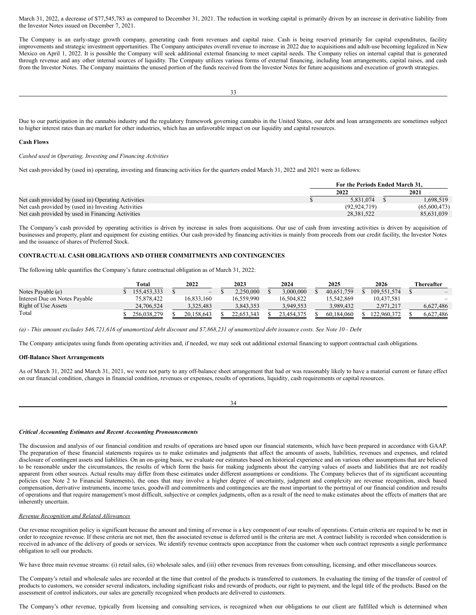March 31, 2022, a decrease of \$77,545,783 as compared to December 31, 2021. The reduction in working capital is primarily driven by an increase in derivative liability from the Investor Notes issued on December 7, 2021.

The Company is an early-stage growth company, generating cash from revenues and capital raise. Cash is being reserved primarily for capital expenditures, facility improvements and strategic investment opportunities. The Company anticipates overall revenue to increase in 2022 due to acquisitions and adult-use becoming legalized in New Mexico on April 1, 2022. It is possible the Company will seek additional external financing to meet capital needs. The Company relies on internal capital that is generated through revenue and any other internal sources of liquidity. The Company utilizes various forms of external financing, including loan arrangements, capital raises, and cash from the Investor Notes. The Company maintains the unused portion of the funds received from the Investor Notes for future acquisitions and execution of growth strategies.

Due to our participation in the cannabis industry and the regulatory framework governing cannabis in the United States, our debt and loan arrangements are sometimes subject to higher interest rates than are market for other industries, which has an unfavorable impact on our liquidity and capital resources.

#### **Cash Flows**

#### *Cashed used in Operating, Investing and Financing Activities*

Net cash provided by (used in) operating, investing and financing activities for the quarters ended March 31, 2022 and 2021 were as follows:

|                                                     |  | For the Periods Ended March 31. |              |
|-----------------------------------------------------|--|---------------------------------|--------------|
|                                                     |  | 2022                            | 2021         |
| Net cash provided by (used in) Operating Activities |  | 5.831.074                       | .698.519     |
| Net cash provided by (used in) Investing Activities |  | (92, 924, 719)                  | (65,600,473) |
| Net cash provided by used in Financing Activities   |  | 28.381.522                      | 85.631.039   |

The Company's cash provided by operating activities is driven by increase in sales from acquisitions. Our use of cash from investing activities is driven by acquisition of businesses and property, plant and equipment for existing entities. Our cash provided by financing activities is mainly from proceeds from our credit facility, the Investor Notes and the issuance of shares of Preferred Stock.

# **CONTRACTUAL CASH OBLIGATIONS AND OTHER COMMITMENTS AND CONTINGENCIES**

The following table quantifies the Company's future contractual obligation as of March 31, 2022:

|                               | Total       | 2022       |  | 2023       |  | 2024       |  |            |  |             |                                           |  |  |  |  |  |  |  |  |  |  |  |  |  |  |  |  |  |  |  |  | 2025 |  |  |  |  |  | 2026 | <b>Thereafter</b> |
|-------------------------------|-------------|------------|--|------------|--|------------|--|------------|--|-------------|-------------------------------------------|--|--|--|--|--|--|--|--|--|--|--|--|--|--|--|--|--|--|--|--|------|--|--|--|--|--|------|-------------------|
| Notes Pavable $(a)$           | 155,453,333 | $\sim$     |  | 2.250,000  |  | 3,000,000  |  | 40.651.759 |  | 109.551.574 | $\qquad \qquad \overline{\qquad \qquad }$ |  |  |  |  |  |  |  |  |  |  |  |  |  |  |  |  |  |  |  |  |      |  |  |  |  |  |      |                   |
| Interest Due on Notes Payable | 75.878.422  | 16.833.160 |  | 16.559.990 |  | 16.504.822 |  | 15.542.869 |  | 10.437.581  | $\sim$                                    |  |  |  |  |  |  |  |  |  |  |  |  |  |  |  |  |  |  |  |  |      |  |  |  |  |  |      |                   |
| <b>Right of Use Assets</b>    | 24,706,524  | 3.325.483  |  | 3,843,353  |  | 3,949,553  |  | 3.989.432  |  | 2.971.217   | 6.627.486                                 |  |  |  |  |  |  |  |  |  |  |  |  |  |  |  |  |  |  |  |  |      |  |  |  |  |  |      |                   |
| Total                         | 256,038,279 | 20.158.643 |  | 22.653.343 |  | 23.454.375 |  | 60.184.060 |  | 122.960.372 | 6.627.486                                 |  |  |  |  |  |  |  |  |  |  |  |  |  |  |  |  |  |  |  |  |      |  |  |  |  |  |      |                   |

(a) - This amount excludes \$46,721,616 of unamortized debt discount and \$7,868,231 of unamortized debt issuance costs. See Note 10 - Debt

The Company anticipates using funds from operating activities and, if needed, we may seek out additional external financing to support contractual cash obligations.

#### **Off-Balance Sheet Arrangements**

As of March 31, 2022 and March 31, 2021, we were not party to any off-balance sheet arrangement that had or was reasonably likely to have a material current or future effect on our financial condition, changes in financial condition, revenues or expenses, results of operations, liquidity, cash requirements or capital resources.

34

#### *Critical Accounting Estimates and Recent Accounting Pronouncements*

The discussion and analysis of our financial condition and results of operations are based upon our financial statements, which have been prepared in accordance with GAAP. The preparation of these financial statements requires us to make estimates and judgments that affect the amounts of assets, liabilities, revenues and expenses, and related disclosure of contingent assets and liabilities. On an on-going basis, we evaluate our estimates based on historical experience and on various other assumptions that are believed to be reasonable under the circumstances, the results of which form the basis for making judgments about the carrying values of assets and liabilities that are not readily apparent from other sources. Actual results may differ from these estimates under different assumptions or conditions. The Company believes that of its significant accounting policies (see Note 2 to Financial Statements), the ones that may involve a higher degree of uncertainty, judgment and complexity are revenue recognition, stock based compensation, derivative instruments, income taxes, goodwill and commitments and contingencies are the most important to the portrayal of our financial condition and results of operations and that require management's most difficult, subjective or complex judgments, often as a result of the need to make estimates about the effects of matters that are inherently uncertain.

#### *Revenue Recognition and Related Allowances*

Our revenue recognition policy is significant because the amount and timing of revenue is a key component of our results of operations. Certain criteria are required to be met in order to recognize revenue. If these criteria are not met, then the associated revenue is deferred until is the criteria are met. A contract liability is recorded when consideration is received in advance of the delivery of goods or services. We identify revenue contracts upon acceptance from the customer when such contract represents a single performance obligation to sell our products.

We have three main revenue streams: (i) retail sales, (ii) wholesale sales, and (iii) other revenues from revenues from consulting, licensing, and other miscellaneous sources.

The Company's retail and wholesale sales are recorded at the time that control of the products is transferred to customers. In evaluating the timing of the transfer of control of products to customers, we consider several indicators, including significant risks and rewards of products, our right to payment, and the legal title of the products. Based on the assessment of control indicators, our sales are generally recognized when products are delivered to customers.

The Company's other revenue, typically from licensing and consulting services, is recognized when our obligations to our client are fulfilled which is determined when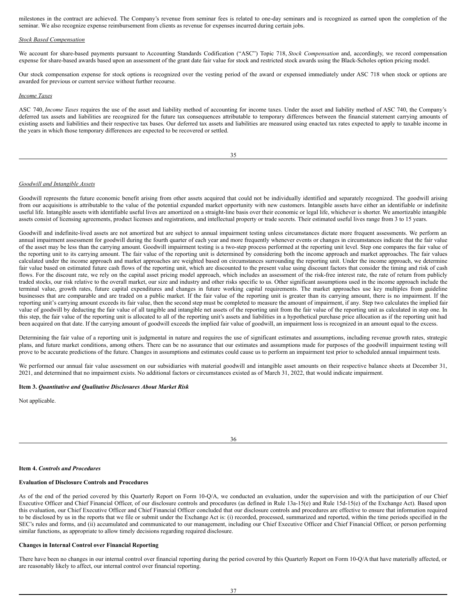milestones in the contract are achieved. The Company's revenue from seminar fees is related to one-day seminars and is recognized as earned upon the completion of the seminar. We also recognize expense reimbursement from clients as revenue for expenses incurred during certain jobs.

#### *Stock Based Compensation*

We account for share-based payments pursuant to Accounting Standards Codification ("ASC") Topic 718, *Stock Compensation* and, accordingly, we record compensation expense for share-based awards based upon an assessment of the grant date fair value for stock and restricted stock awards using the Black-Scholes option pricing model.

Our stock compensation expense for stock options is recognized over the vesting period of the award or expensed immediately under ASC 718 when stock or options are awarded for previous or current service without further recourse.

### *Income Taxes*

ASC 740, *Income Taxes* requires the use of the asset and liability method of accounting for income taxes. Under the asset and liability method of ASC 740, the Company's deferred tax assets and liabilities are recognized for the future tax consequences attributable to temporary differences between the financial statement carrying amounts of existing assets and liabilities and their respective tax bases. Our deferred tax assets and liabilities are measured using enacted tax rates expected to apply to taxable income in the years in which those temporary differences are expected to be recovered or settled.

35

# *Goodwill and Intangible Assets*

Goodwill represents the future economic benefit arising from other assets acquired that could not be individually identified and separately recognized. The goodwill arising from our acquisitions is attributable to the value of the potential expanded market opportunity with new customers. Intangible assets have either an identifiable or indefinite useful life. Intangible assets with identifiable useful lives are amortized on a straight-line basis over their economic or legal life, whichever is shorter. We amortizable intangible assets consist of licensing agreements, product licenses and registrations, and intellectual property or trade secrets. Their estimated useful lives range from 3 to 15 years.

Goodwill and indefinite-lived assets are not amortized but are subject to annual impairment testing unless circumstances dictate more frequent assessments. We perform an annual impairment assessment for goodwill during the fourth quarter of each year and more frequently whenever events or changes in circumstances indicate that the fair value of the asset may be less than the carrying amount. Goodwill impairment testing is a two-step process performed at the reporting unit level. Step one compares the fair value of the reporting unit to its carrying amount. The fair value of the reporting unit is determined by considering both the income approach and market approaches. The fair values calculated under the income approach and market approaches are weighted based on circumstances surrounding the reporting unit. Under the income approach, we determine fair value based on estimated future cash flows of the reporting unit, which are discounted to the present value using discount factors that consider the timing and risk of cash flows. For the discount rate, we rely on the capital asset pricing model approach, which includes an assessment of the risk-free interest rate, the rate of return from publicly traded stocks, our risk relative to the overall market, our size and industry and other risks specific to us. Other significant assumptions used in the income approach include the terminal value, growth rates, future capital expenditures and changes in future working capital requirements. The market approaches use key multiples from guideline businesses that are comparable and are traded on a public market. If the fair value of the reporting unit is greater than its carrying amount, there is no impairment. If the reporting unit's carrying amount exceeds its fair value, then the second step must be completed to measure the amount of impairment, if any. Step two calculates the implied fair value of goodwill by deducting the fair value of all tangible and intangible net assets of the reporting unit from the fair value of the reporting unit as calculated in step one. In this step, the fair value of the reporting unit is allocated to all of the reporting unit's assets and liabilities in a hypothetical purchase price allocation as if the reporting unit had been acquired on that date. If the carrying amount of goodwill exceeds the implied fair value of goodwill, an impairment loss is recognized in an amount equal to the excess.

Determining the fair value of a reporting unit is judgmental in nature and requires the use of significant estimates and assumptions, including revenue growth rates, strategic plans, and future market conditions, among others. There can be no assurance that our estimates and assumptions made for purposes of the goodwill impairment testing will prove to be accurate predictions of the future. Changes in assumptions and estimates could cause us to perform an impairment test prior to scheduled annual impairment tests.

We performed our annual fair value assessment on our subsidiaries with material goodwill and intangible asset amounts on their respective balance sheets at December 31, 2021, and determined that no impairment exists. No additional factors or circumstances existed as of March 31, 2022, that would indicate impairment.

#### **Item 3.** *Quantitative and Qualitative Disclosures About Market Risk*

Not applicable.

36

#### **Item 4.** *Controls and Procedures*

#### **Evaluation of Disclosure Controls and Procedures**

As of the end of the period covered by this Quarterly Report on Form 10-Q/A, we conducted an evaluation, under the supervision and with the participation of our Chief Executive Officer and Chief Financial Officer, of our disclosure controls and procedures (as defined in Rule 13a-15(e) and Rule 15d-15(e) of the Exchange Act). Based upon this evaluation, our Chief Executive Officer and Chief Financial Officer concluded that our disclosure controls and procedures are effective to ensure that information required to be disclosed by us in the reports that we file or submit under the Exchange Act is: (i) recorded, processed, summarized and reported, within the time periods specified in the SEC's rules and forms, and (ii) accumulated and communicated to our management, including our Chief Executive Officer and Chief Financial Officer, or person performing similar functions, as appropriate to allow timely decisions regarding required disclosure.

# **Changes in Internal Control over Financial Reporting**

There have been no changes in our internal control over financial reporting during the period covered by this Quarterly Report on Form 10-Q/A that have materially affected, or are reasonably likely to affect, our internal control over financial reporting.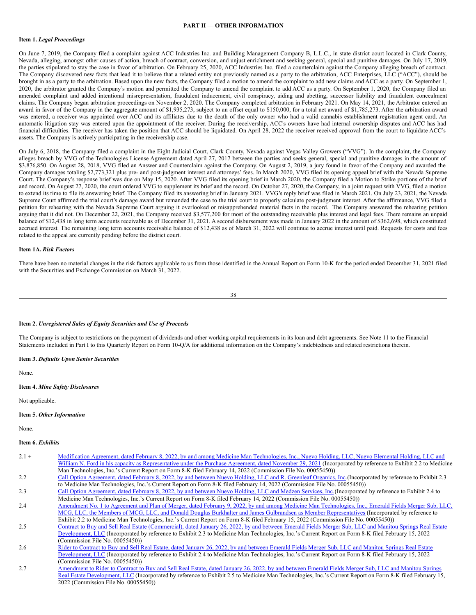# **PART II — OTHER INFORMATION**

### **Item 1.** *Legal Proceedings*

On June 7, 2019, the Company filed a complaint against ACC Industries Inc. and Building Management Company B, L.L.C., in state district court located in Clark County, Nevada, alleging, amongst other causes of action, breach of contract, conversion, and unjust enrichment and seeking general, special and punitive damages. On July 17, 2019, the parties stipulated to stay the case in favor of arbitration. On February 25, 2020, ACC Industries Inc. filed a counterclaim against the Company alleging breach of contract. The Company discovered new facts that lead it to believe that a related entity not previously named as a party to the arbitration, ACC Enterprises, LLC ("ACC"), should be brought in as a party to the arbitration. Based upon the new facts, the Company filed a motion to amend the complaint to add new claims and ACC as a party. On September 1, 2020, the arbitrator granted the Company's motion and permitted the Company to amend the complaint to add ACC as a party. On September 1, 2020, the Company filed an amended complaint and added intentional misrepresentation, fraudulent inducement, civil conspiracy, aiding and abetting, successor liability and fraudulent concealment claims. The Company began arbitration proceedings on November 2, 2020. The Company completed arbitration in February 2021. On May 14, 2021, the Arbitrator entered an award in favor of the Company in the aggregate amount of \$1,935,273, subject to an offset equal to \$150,000, for a total net award of \$1,785,273. After the arbitration award was entered, a receiver was appointed over ACC and its affiliates due to the death of the only owner who had a valid cannabis establishment registration agent card. An automatic litigation stay was entered upon the appointment of the receiver. During the receivership, ACC's owners have had internal ownership disputes and ACC has had financial difficulties. The receiver has taken the position that ACC should be liquidated. On April 28, 2022 the receiver received approval from the court to liquidate ACC's assets. The Company is actively participating in the receivership case.

On July 6, 2018, the Company filed a complaint in the Eight Judicial Court, Clark County, Nevada against Vegas Valley Growers ("VVG"). In the complaint, the Company alleges breach by VVG of the Technologies License Agreement dated April 27, 2017 between the parties and seeks general, special and punitive damages in the amount of \$3,876,850. On August 28, 2018, VVG filed an Answer and Counterclaim against the Company. On August 2, 2019, a jury found in favor of the Company and awarded the Company damages totaling \$2,773,321 plus pre- and post-judgment interest and attorneys' fees. In March 2020, VVG filed its opening appeal brief with the Nevada Supreme Court. The Company's response brief was due on May 15, 2020. After VVG filed its opening brief in March 2020, the Company filed a Motion to Strike portions of the brief and record. On August 27, 2020, the court ordered VVG to supplement its brief and the record. On October 27, 2020, the Company, in a joint request with VVG, filed a motion to extend its time to file its answering brief. The Company filed its answering brief in January 2021. VVG's reply brief was filed in March 2021. On July 23, 2021, the Nevada Supreme Court affirmed the trial court's damage award but remanded the case to the trial court to properly calculate post-judgment interest. After the affirmance, VVG filed a petition for rehearing with the Nevada Supreme Court arguing it overlooked or misapprehended material facts in the record. The Company answered the rehearing petition arguing that it did not. On December 22, 2021, the Company received \$3,577,200 for most of the outstanding receivable plus interest and legal fees. There remains an unpaid balance of \$12,438 in long term accounts receivable as of December 31, 2021. A second disbursement was made in January 2022 in the amount of \$362,698, which constituted accrued interest. The remaining long term accounts receivable balance of \$12,438 as of March 31, 2022 will continue to accrue interest until paid. Requests for costs and fees related to the appeal are currently pending before the district court.

### **Item 1A.** *Risk Factors*

There have been no material changes in the risk factors applicable to us from those identified in the Annual Report on Form 10-K for the period ended December 31, 2021 filed with the Securities and Exchange Commission on March 31, 2022.

38

#### **Item 2.** *Unregistered Sales of Equity Securities and Use of Proceeds*

The Company is subject to restrictions on the payment of dividends and other working capital requirements in its loan and debt agreements. See Note 11 to the Financial Statements included in Part I to this Quarterly Report on Form 10-Q/A for additional information on the Company's indebtedness and related restrictions therein.

### **Item 3.** *Defaults Upon Senior Securities*

None.

#### **Item 4.** *Mine Safety Disclosures*

Not applicable.

### **Item 5.** *Other Information*

None.

### **Item 6.** *Exhibits*

| $2.1 +$                           | Modification Agreement, dated February 8, 2022, by and among Medicine Man Technologies, Inc., Nuevo Holding, LLC, Nuevo Elemental Holding, LLC and            |
|-----------------------------------|---------------------------------------------------------------------------------------------------------------------------------------------------------------|
|                                   | William N. Ford in his capacity as Representative under the Purchase Agreement, dated November 29, 2021 (Incorporated by reference to Exhibit 2.2 to Medicine |
|                                   | Man Technologies, Inc.'s Current Report on Form 8-K filed February 14, 2022 (Commission File No. 00055450))                                                   |
| the control of the control of the |                                                                                                                                                               |

2.2 Call Option [Agreement,](https://www.sec.gov/Archives/edgar/data/1622879/000168316822000979/medman_ex0203.htm) dated February 8, 2022, by and between Nuevo Holding, LLC and R. Greenleaf Organics, Inc.(Incorporated by reference to Exhibit 2.3 to Medicine Man Technologies, Inc.'s Current Report on Form 8-K filed February 14, 2022 (Commission File No. 00055450))

2.3 Call Option [Agreement,](https://www.sec.gov/Archives/edgar/data/1622879/000168316822000979/medmen_ex0204.htm) dated February 8, 2022, by and between Nuevo Holding, LLC and Medzen Services, Inc. (Incorporated by reference to Exhibit 2.4 to Medicine Man Technologies, Inc.'s Current Report on Form 8-K filed February 14, 2022 (Commission File No. 00055450))

- 2.4 Amendment No. 1 to Agreement and Plan of Merger, dated February 9, 2022, by and among Medicine Man Technologies, Inc., Emerald Fields Merger Sub, LLC, MCG, LLC, the Members of MCG, LLC, and Donald Douglas Burkhalter and James Gulbrandsen as Member [Representatives](https://www.sec.gov/Archives/edgar/data/1622879/000168316822001040/medman_ex0202.htm) (Incorporated by reference to Exhibit 2.2 to Medicine Man Technologies, Inc.'s Current Report on Form 8-K filed February 15, 2022 (Commission File No. 00055450))
- 2.5 Contract to Buy and Sell Real Estate [\(Commercial\),](https://www.sec.gov/Archives/edgar/data/1622879/000168316822001040/medman_ex0203.htm) dated January 26, 2022, by and between Emerald Fields Merger Sub, LLC and Manitou Springs Real Estate Development, LLC (Incorporated by reference to Exhibit 2.3 to Medicine Man Technologies, Inc.'s Current Report on Form 8-K filed February 15, 2022 (Commission File No. 00055450))
- 2.6 Rider to Contract to Buy and Sell Real Estate, dated January 26, 2022, by and between Emerald Fields Merger Sub, LLC and Manitou Springs Real Estate [Development,](https://www.sec.gov/Archives/edgar/data/1622879/000168316822001040/medman_ex0204.htm) LLC (Incorporated by reference to Exhibit 2.4 to Medicine Man Technologies, Inc.'s Current Report on Form 8-K filed February 15, 2022 (Commission File No. 00055450))
- 2.7 Amendment to Rider to Contract to Buy and Sell Real Estate, dated January 26, 2022, by and between Emerald Fields Merger Sub, LLC and Manitou Springs Real Estate [Development,](https://www.sec.gov/Archives/edgar/data/1622879/000168316822001040/medman_ex0205.htm) LLC (Incorporated by reference to Exhibit 2.5 to Medicine Man Technologies, Inc.'s Current Report on Form 8-K filed February 15, 2022 (Commission File No. 00055450))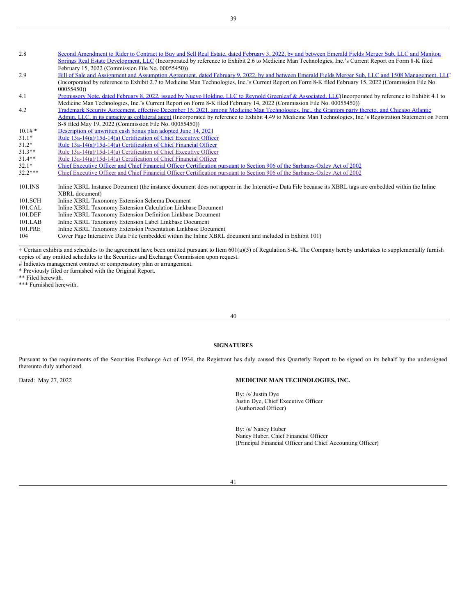- 2.9 Bill of Sale and Assignment and Assumption Agreement, dated February 9, 2022, by and between Emerald Fields Merger Sub, LLC and 1508 [Management,](https://www.sec.gov/Archives/edgar/data/1622879/000168316822001040/medman_ex0207.htm) LLC (Incorporated by reference to Exhibit 2.7 to Medicine Man Technologies, Inc.'s Current Report on Form 8-K filed February 15, 2022 (Commission File No. 00055450))
- 4.1 Promissory Note, dated February 8, 2022, issued by Nuevo Holding, LLC to Reynold Greenleaf & [Associated,](https://www.sec.gov/Archives/edgar/data/1622879/000168316822000979/medman_ex0401.htm) LLC(Incorporated by reference to Exhibit 4.1 to Medicine Man Technologies, Inc.'s Current Report on Form 8-K filed February 14, 2022 (Commission File No. 00055450))
- 4.2 Trademark Security Agreement, effective December 15, 2021, among Medicine Man [Technologies,](http://www.sec.gov/Archives/edgar/data/1622879/000168316822003822/medman_ex0449.htm) Inc., the Grantors party thereto, and Chicago Atlantic
- Admin, LLC, in its capacity as collateral agent (Incorporated by reference to Exhibit 4.49 to Medicine Man Technologies, Inc.'s Registration Statement on Form S-8 filed May 19, 2022 (Commission File No. 00055450))
- 10.1# \* [Description](http://www.sec.gov/Archives/edgar/data/1622879/000168316822003684/medman_ex1001.htm) of unwritten cash bonus plan adopted June 14, 2021<br>31.1 \* Rule 13a-14(a)/15d-14(a) Certification of Chief Executive Offic
- 31.1\* Rule  $13a-14(a)/15d-14(a)$  Certification of Chief Executive Officer<br>31.2\* Rule 13a-14(a)/15d-14(a) Certification of Chief Financial Officer
- 31.2\* Rule [13a-14\(a\)/15d-14\(a\)](http://www.sec.gov/Archives/edgar/data/1622879/000168316822003684/medman_ex3102.htm) Certification of Chief Financial Officer<br>31.3\*\* Rule 13a-14(a)/15d-14(a) Certification of Chief Executive Officer
- 31.3\*\* Rule [13a-14\(a\)/15d-14\(a\)](#page-24-0) Certification of Chief Executive Officer<br>31.4\*\* Rule 13a-14(a)/15d-14(a) Certification of Chief Financial Officer
- 31.4\*\* Rule [13a-14\(a\)/15d-14\(a\)](#page-25-0) Certification of Chief Financial Officer<br>32.1\* Chief Executive Officer and Chief Financial Officer Certification
- 32.1\* Chief Executive Officer and Chief Financial Officer Certification pursuant to Section 906 of the [Sarbanes-Oxley](http://www.sec.gov/Archives/edgar/data/1622879/000168316822003684/medman_ex3200.htm) Act of 2002<br>32.2\*\*\* Chief Executive Officer and Chief Financial Officer Certification pursuant to Sectio

32.2\*\*\* Chief Executive Officer and Chief Financial Officer Certification pursuant to Section 906 of the [Sarbanes-Oxley](#page-26-0) Act of 2002

- 101.INS Inline XBRL Instance Document (the instance document does not appear in the Interactive Data File because its XBRL tags are embedded within the Inline XBRL document)
- 101.SCH Inline XBRL Taxonomy Extension Schema Document<br>101.CAL Inline XBRL Taxonomy Extension Calculation Linkba
- Inline XBRL Taxonomy Extension Calculation Linkbase Document
- 101.DEF Inline XBRL Taxonomy Extension Definition Linkbase Document<br>101.LAB Inline XBRL Taxonomy Extension Label Linkbase Document
- 101.LAB Inline XBRL Taxonomy Extension Label Linkbase Document<br>101.PRE Inline XBRL Taxonomy Extension Presentation Linkbase Doc
- 
- 101.PRE Inline XBRL Taxonomy Extension Presentation Linkbase Document<br>104 Cover Page Interactive Data File (embedded within the Inline XBRL 104 Cover Page Interactive Data File (embedded within the Inline XBRL document and included in Exhibit 101)

+ Certain exhibits and schedules to the agreement have been omitted pursuant to Item 601(a)(5) of Regulation S-K. The Company hereby undertakes to supplementally furnish copies of any omitted schedules to the Securities and Exchange Commission upon request.

# Indicates management contract or compensatory plan or arrangement.

\* Previously filed or furnished with the Original Report.

\*\* Filed herewith.

\*\*\* Furnished herewith.

 $\mathcal{L}_\text{max}$ 

40

# **SIGNATURES**

Pursuant to the requirements of the Securities Exchange Act of 1934, the Registrant has duly caused this Quarterly Report to be signed on its behalf by the undersigned thereunto duly authorized.

# Dated: May 27, 2022 **MEDICINE MAN TECHNOLOGIES, INC.**

By: /s/ Justin Dye Justin Dye, Chief Executive Officer (Authorized Officer)

By: /s/ Nancy Huber Nancy Huber, Chief Financial Officer (Principal Financial Officer and Chief Accounting Officer)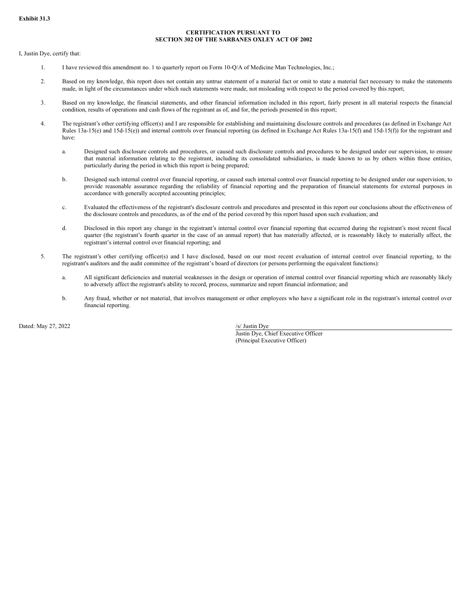# **CERTIFICATION PURSUANT TO SECTION 302 OF THE SARBANES OXLEY ACT OF 2002**

<span id="page-24-0"></span>I, Justin Dye, certify that:

- 1. I have reviewed this amendment no. 1 to quarterly report on Form 10-Q/A of Medicine Man Technologies, Inc.;
- 2. Based on my knowledge, this report does not contain any untrue statement of a material fact or omit to state a material fact necessary to make the statements made, in light of the circumstances under which such statements were made, not misleading with respect to the period covered by this report;
- 3. Based on my knowledge, the financial statements, and other financial information included in this report, fairly present in all material respects the financial condition, results of operations and cash flows of the registrant as of, and for, the periods presented in this report;
- 4. The registrant's other certifying officer(s) and I are responsible for establishing and maintaining disclosure controls and procedures (as defined in Exchange Act Rules 13a-15(e) and 15d-15(e)) and internal controls over financial reporting (as defined in Exchange Act Rules 13a-15(f) and 15d-15(f)) for the registrant and have:
	- a. Designed such disclosure controls and procedures, or caused such disclosure controls and procedures to be designed under our supervision, to ensure that material information relating to the registrant, including its consolidated subsidiaries, is made known to us by others within those entities, particularly during the period in which this report is being prepared;
	- b. Designed such internal control over financial reporting, or caused such internal control over financial reporting to be designed under our supervision, to provide reasonable assurance regarding the reliability of financial reporting and the preparation of financial statements for external purposes in accordance with generally accepted accounting principles;
	- c. Evaluated the effectiveness of the registrant's disclosure controls and procedures and presented in this report our conclusions about the effectiveness of the disclosure controls and procedures, as of the end of the period covered by this report based upon such evaluation; and
	- d. Disclosed in this report any change in the registrant's internal control over financial reporting that occurred during the registrant's most recent fiscal quarter (the registrant's fourth quarter in the case of an annual report) that has materially affected, or is reasonably likely to materially affect, the registrant's internal control over financial reporting; and
- 5. The registrant's other certifying officer(s) and I have disclosed, based on our most recent evaluation of internal control over financial reporting, to the registrant's auditors and the audit committee of the registrant's board of directors (or persons performing the equivalent functions):
	- a. All significant deficiencies and material weaknesses in the design or operation of internal control over financial reporting which are reasonably likely to adversely affect the registrant's ability to record, process, summarize and report financial information; and
	- b. Any fraud, whether or not material, that involves management or other employees who have a significant role in the registrant's internal control over financial reporting.

Dated: May 27, 2022 /s/ Justin Dye

Justin Dye, Chief Executive Officer (Principal Executive Officer)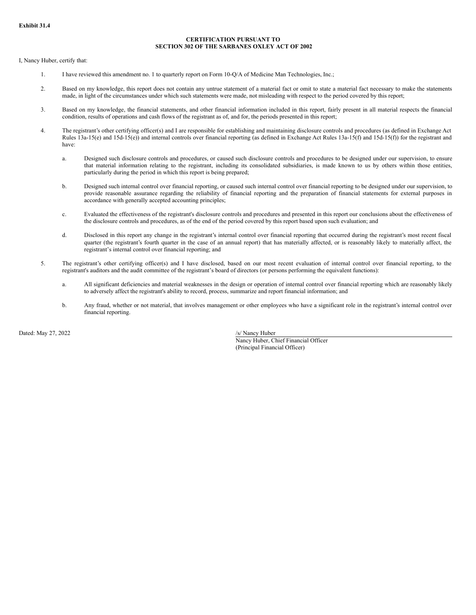# **CERTIFICATION PURSUANT TO SECTION 302 OF THE SARBANES OXLEY ACT OF 2002**

<span id="page-25-0"></span>I, Nancy Huber, certify that:

- 1. I have reviewed this amendment no. 1 to quarterly report on Form 10-Q/A of Medicine Man Technologies, Inc.;
- 2. Based on my knowledge, this report does not contain any untrue statement of a material fact or omit to state a material fact necessary to make the statements made, in light of the circumstances under which such statements were made, not misleading with respect to the period covered by this report;
- 3. Based on my knowledge, the financial statements, and other financial information included in this report, fairly present in all material respects the financial condition, results of operations and cash flows of the registrant as of, and for, the periods presented in this report;
- 4. The registrant's other certifying officer(s) and I are responsible for establishing and maintaining disclosure controls and procedures (as defined in Exchange Act Rules 13a-15(e) and 15d-15(e)) and internal controls over financial reporting (as defined in Exchange Act Rules 13a-15(f) and 15d-15(f)) for the registrant and have:
	- a. Designed such disclosure controls and procedures, or caused such disclosure controls and procedures to be designed under our supervision, to ensure that material information relating to the registrant, including its consolidated subsidiaries, is made known to us by others within those entities, particularly during the period in which this report is being prepared;
	- b. Designed such internal control over financial reporting, or caused such internal control over financial reporting to be designed under our supervision, to provide reasonable assurance regarding the reliability of financial reporting and the preparation of financial statements for external purposes in accordance with generally accepted accounting principles;
	- c. Evaluated the effectiveness of the registrant's disclosure controls and procedures and presented in this report our conclusions about the effectiveness of the disclosure controls and procedures, as of the end of the period covered by this report based upon such evaluation; and
	- d. Disclosed in this report any change in the registrant's internal control over financial reporting that occurred during the registrant's most recent fiscal quarter (the registrant's fourth quarter in the case of an annual report) that has materially affected, or is reasonably likely to materially affect, the registrant's internal control over financial reporting; and
- 5. The registrant's other certifying officer(s) and I have disclosed, based on our most recent evaluation of internal control over financial reporting, to the registrant's auditors and the audit committee of the registrant's board of directors (or persons performing the equivalent functions):
	- a. All significant deficiencies and material weaknesses in the design or operation of internal control over financial reporting which are reasonably likely to adversely affect the registrant's ability to record, process, summarize and report financial information; and
	- b. Any fraud, whether or not material, that involves management or other employees who have a significant role in the registrant's internal control over financial reporting.

Dated: May 27, 2022 /s/ Nancy Huber

Nancy Huber, Chief Financial Officer (Principal Financial Officer)